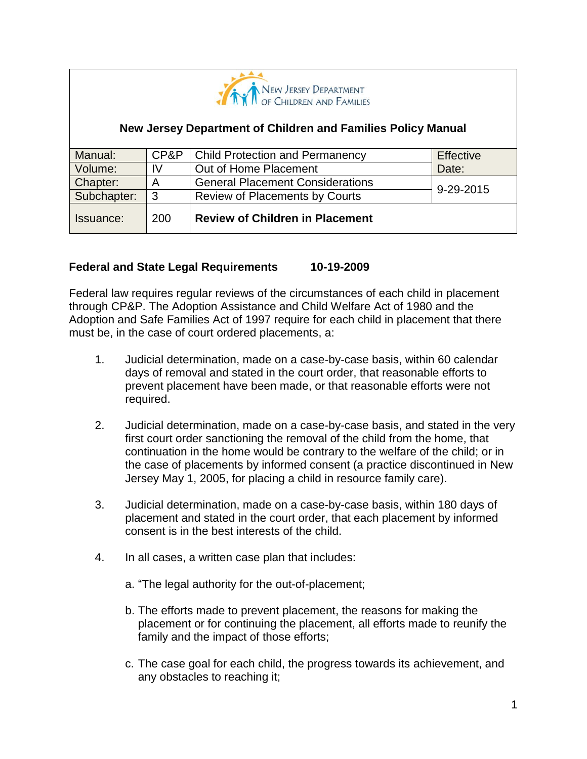

### **New Jersey Department of Children and Families Policy Manual**

| Manual:     | CP&P | <b>Child Protection and Permanency</b>  | Effective |
|-------------|------|-----------------------------------------|-----------|
| Volume:     | IV   | Out of Home Placement                   | Date:     |
| Chapter:    | A    | <b>General Placement Considerations</b> | 9-29-2015 |
| Subchapter: | 3    | <b>Review of Placements by Courts</b>   |           |
| Issuance:   | 200  | <b>Review of Children in Placement</b>  |           |

### **Federal and State Legal Requirements 10-19-2009**

Federal law requires regular reviews of the circumstances of each child in placement through CP&P. The Adoption Assistance and Child Welfare Act of 1980 and the Adoption and Safe Families Act of 1997 require for each child in placement that there must be, in the case of court ordered placements, a:

- 1. Judicial determination, made on a case-by-case basis, within 60 calendar days of removal and stated in the court order, that reasonable efforts to prevent placement have been made, or that reasonable efforts were not required.
- 2. Judicial determination, made on a case-by-case basis, and stated in the very first court order sanctioning the removal of the child from the home, that continuation in the home would be contrary to the welfare of the child; or in the case of placements by informed consent (a practice discontinued in New Jersey May 1, 2005, for placing a child in resource family care).
- 3. Judicial determination, made on a case-by-case basis, within 180 days of placement and stated in the court order, that each placement by informed consent is in the best interests of the child.
- 4. In all cases, a written case plan that includes:
	- a. "The legal authority for the out-of-placement;
	- b. The efforts made to prevent placement, the reasons for making the placement or for continuing the placement, all efforts made to reunify the family and the impact of those efforts;
	- c. The case goal for each child, the progress towards its achievement, and any obstacles to reaching it;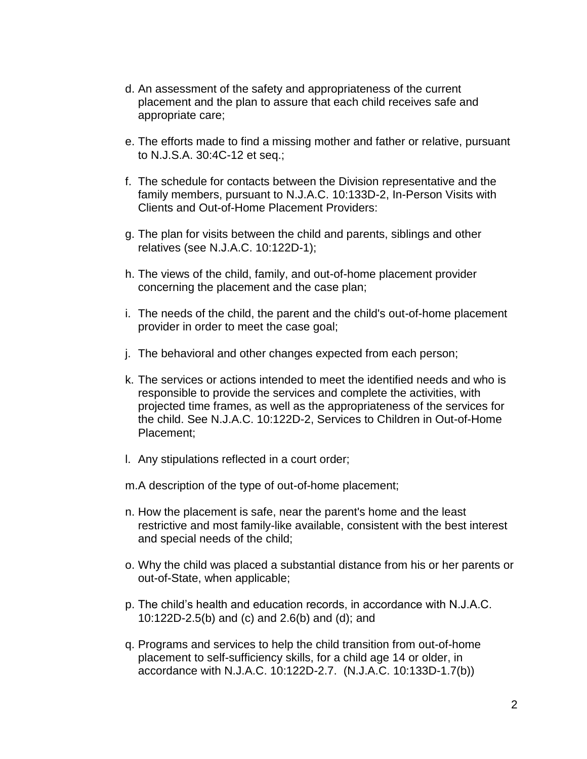- d. An assessment of the safety and appropriateness of the current placement and the plan to assure that each child receives safe and appropriate care;
- e. The efforts made to find a missing mother and father or relative, pursuant to N.J.S.A. 30:4C-12 et seq.;
- f. The schedule for contacts between the Division representative and the family members, pursuant to N.J.A.C. 10:133D-2, In-Person Visits with Clients and Out-of-Home Placement Providers:
- g. The plan for visits between the child and parents, siblings and other relatives (see N.J.A.C. 10:122D-1);
- h. The views of the child, family, and out-of-home placement provider concerning the placement and the case plan;
- i. The needs of the child, the parent and the child's out-of-home placement provider in order to meet the case goal;
- j. The behavioral and other changes expected from each person;
- k. The services or actions intended to meet the identified needs and who is responsible to provide the services and complete the activities, with projected time frames, as well as the appropriateness of the services for the child. See N.J.A.C. 10:122D-2, Services to Children in Out-of-Home Placement;
- l. Any stipulations reflected in a court order;
- m.A description of the type of out-of-home placement;
- n. How the placement is safe, near the parent's home and the least restrictive and most family-like available, consistent with the best interest and special needs of the child;
- o. Why the child was placed a substantial distance from his or her parents or out-of-State, when applicable;
- p. The child's health and education records, in accordance with N.J.A.C. 10:122D-2.5(b) and (c) and 2.6(b) and (d); and
- q. Programs and services to help the child transition from out-of-home placement to self-sufficiency skills, for a child age 14 or older, in accordance with N.J.A.C. 10:122D-2.7. (N.J.A.C. 10:133D-1.7(b))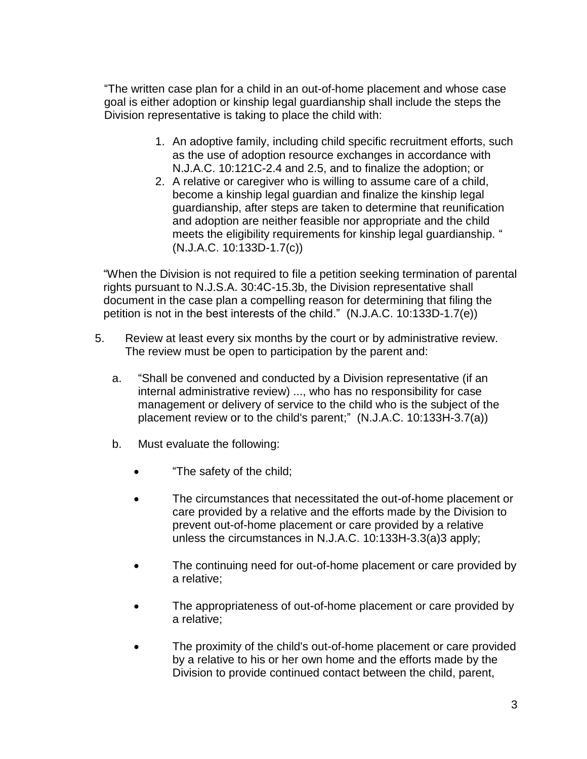"The written case plan for a child in an out-of-home placement and whose case goal is either adoption or kinship legal guardianship shall include the steps the Division representative is taking to place the child with:

- 1. An adoptive family, including child specific recruitment efforts, such as the use of adoption resource exchanges in accordance with N.J.A.C. 10:121C-2.4 and 2.5, and to finalize the adoption; or
- 2. A relative or caregiver who is willing to assume care of a child, become a kinship legal guardian and finalize the kinship legal guardianship, after steps are taken to determine that reunification and adoption are neither feasible nor appropriate and the child meets the eligibility requirements for kinship legal guardianship. " (N.J.A.C. 10:133D-1.7(c))

"When the Division is not required to file a petition seeking termination of parental rights pursuant to N.J.S.A. 30:4C-15.3b, the Division representative shall document in the case plan a compelling reason for determining that filing the petition is not in the best interests of the child." (N.J.A.C. 10:133D-1.7(e))

- 5. Review at least every six months by the court or by administrative review. The review must be open to participation by the parent and:
	- a. "Shall be convened and conducted by a Division representative (if an internal administrative review) ..., who has no responsibility for case management or delivery of service to the child who is the subject of the placement review or to the child's parent;" (N.J.A.C. 10:133H-3.7(a))
	- b. Must evaluate the following:
		- "The safety of the child;
		- The circumstances that necessitated the out-of-home placement or care provided by a relative and the efforts made by the Division to prevent out-of-home placement or care provided by a relative unless the circumstances in N.J.A.C. 10:133H-3.3(a)3 apply;
		- The continuing need for out-of-home placement or care provided by a relative;
		- The appropriateness of out-of-home placement or care provided by a relative;
		- The proximity of the child's out-of-home placement or care provided by a relative to his or her own home and the efforts made by the Division to provide continued contact between the child, parent,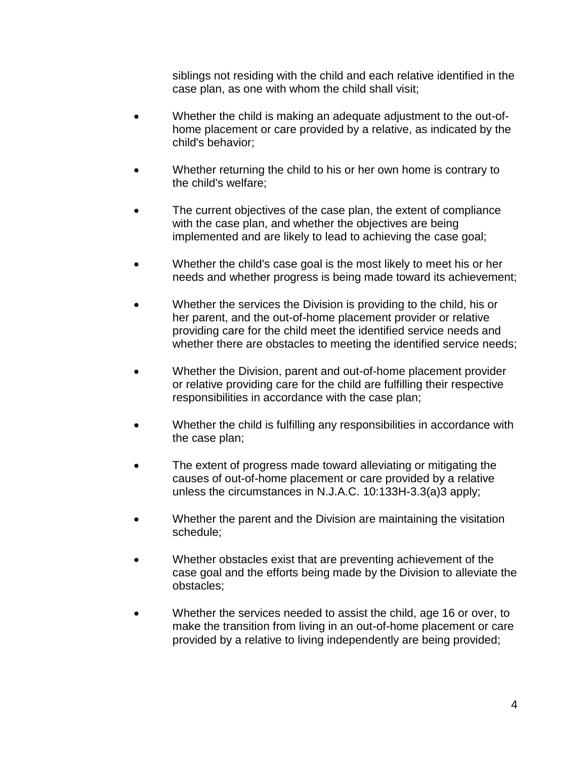siblings not residing with the child and each relative identified in the case plan, as one with whom the child shall visit;

- Whether the child is making an adequate adjustment to the out-ofhome placement or care provided by a relative, as indicated by the child's behavior;
- Whether returning the child to his or her own home is contrary to the child's welfare;
- The current objectives of the case plan, the extent of compliance with the case plan, and whether the objectives are being implemented and are likely to lead to achieving the case goal;
- Whether the child's case goal is the most likely to meet his or her needs and whether progress is being made toward its achievement;
- Whether the services the Division is providing to the child, his or her parent, and the out-of-home placement provider or relative providing care for the child meet the identified service needs and whether there are obstacles to meeting the identified service needs;
- Whether the Division, parent and out-of-home placement provider or relative providing care for the child are fulfilling their respective responsibilities in accordance with the case plan;
- Whether the child is fulfilling any responsibilities in accordance with the case plan;
- The extent of progress made toward alleviating or mitigating the causes of out-of-home placement or care provided by a relative unless the circumstances in N.J.A.C. 10:133H-3.3(a)3 apply;
- Whether the parent and the Division are maintaining the visitation schedule;
- Whether obstacles exist that are preventing achievement of the case goal and the efforts being made by the Division to alleviate the obstacles;
- Whether the services needed to assist the child, age 16 or over, to make the transition from living in an out-of-home placement or care provided by a relative to living independently are being provided;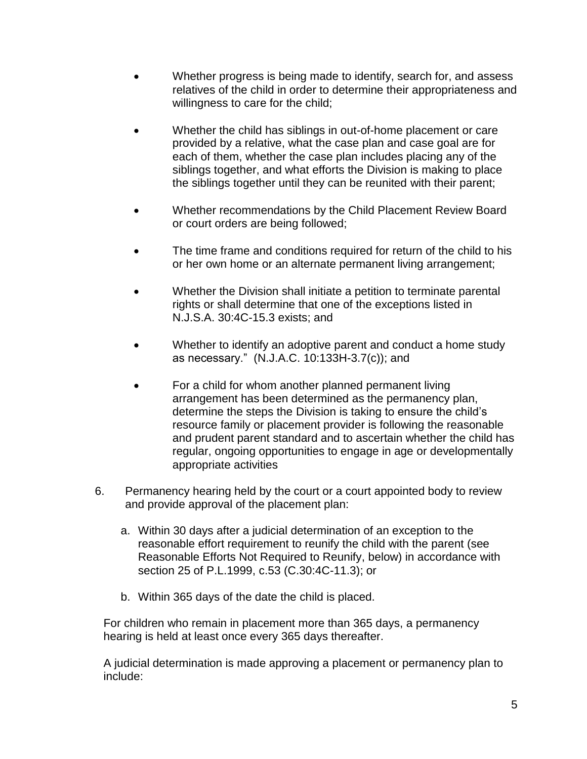- Whether progress is being made to identify, search for, and assess relatives of the child in order to determine their appropriateness and willingness to care for the child;
- Whether the child has siblings in out-of-home placement or care provided by a relative, what the case plan and case goal are for each of them, whether the case plan includes placing any of the siblings together, and what efforts the Division is making to place the siblings together until they can be reunited with their parent;
- Whether recommendations by the Child Placement Review Board or court orders are being followed;
- The time frame and conditions required for return of the child to his or her own home or an alternate permanent living arrangement;
- Whether the Division shall initiate a petition to terminate parental rights or shall determine that one of the exceptions listed in N.J.S.A. 30:4C-15.3 exists; and
- Whether to identify an adoptive parent and conduct a home study as necessary." (N.J.A.C. 10:133H-3.7(c)); and
- For a child for whom another planned permanent living arrangement has been determined as the permanency plan, determine the steps the Division is taking to ensure the child's resource family or placement provider is following the reasonable and prudent parent standard and to ascertain whether the child has regular, ongoing opportunities to engage in age or developmentally appropriate activities
- 6. Permanency hearing held by the court or a court appointed body to review and provide approval of the placement plan:
	- a. Within 30 days after a judicial determination of an exception to the reasonable effort requirement to reunify the child with the parent (see Reasonable Efforts Not Required to Reunify, below) in accordance with section 25 of P.L.1999, c.53 (C.30:4C-11.3); or
	- b. Within 365 days of the date the child is placed.

For children who remain in placement more than 365 days, a permanency hearing is held at least once every 365 days thereafter.

A judicial determination is made approving a placement or permanency plan to include: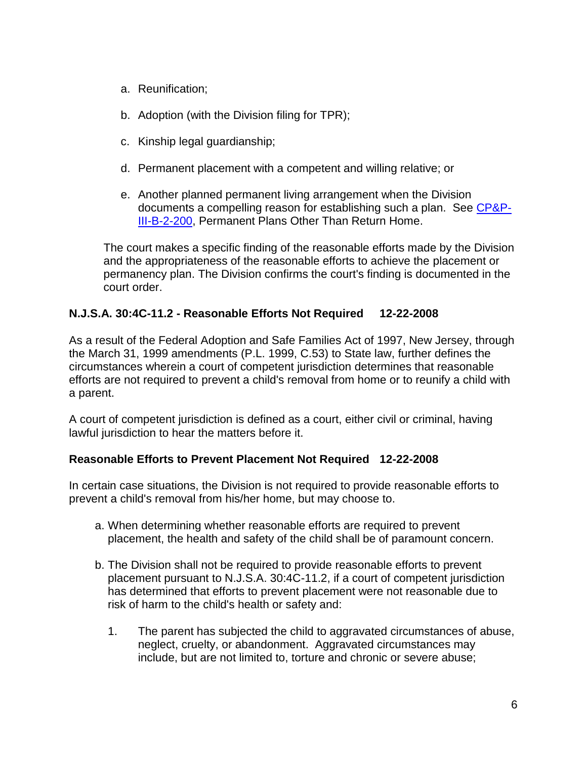- a. Reunification;
- b. Adoption (with the Division filing for TPR);
- c. Kinship legal guardianship;
- d. Permanent placement with a competent and willing relative; or
- e. Another planned permanent living arrangement when the Division documents a compelling reason for establishing such a plan. See [CP&P-](CPP-III-B-2-200_issuance.shtml)[III-B-2-200,](CPP-III-B-2-200_issuance.shtml) Permanent Plans Other Than Return Home.

The court makes a specific finding of the reasonable efforts made by the Division and the appropriateness of the reasonable efforts to achieve the placement or permanency plan. The Division confirms the court's finding is documented in the court order.

# **N.J.S.A. 30:4C-11.2 - Reasonable Efforts Not Required 12-22-2008**

As a result of the Federal Adoption and Safe Families Act of 1997, New Jersey, through the March 31, 1999 amendments (P.L. 1999, C.53) to State law, further defines the circumstances wherein a court of competent jurisdiction determines that reasonable efforts are not required to prevent a child's removal from home or to reunify a child with a parent.

A court of competent jurisdiction is defined as a court, either civil or criminal, having lawful jurisdiction to hear the matters before it.

### **Reasonable Efforts to Prevent Placement Not Required 12-22-2008**

In certain case situations, the Division is not required to provide reasonable efforts to prevent a child's removal from his/her home, but may choose to.

- a. When determining whether reasonable efforts are required to prevent placement, the health and safety of the child shall be of paramount concern.
- b. The Division shall not be required to provide reasonable efforts to prevent placement pursuant to N.J.S.A. 30:4C-11.2, if a court of competent jurisdiction has determined that efforts to prevent placement were not reasonable due to risk of harm to the child's health or safety and:
	- 1. The parent has subjected the child to aggravated circumstances of abuse, neglect, cruelty, or abandonment. Aggravated circumstances may include, but are not limited to, torture and chronic or severe abuse;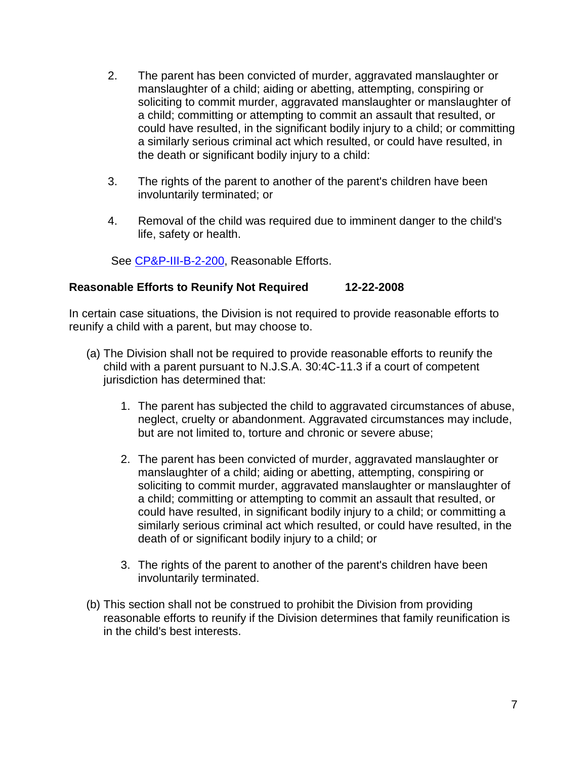- 2. The parent has been convicted of murder, aggravated manslaughter or manslaughter of a child; aiding or abetting, attempting, conspiring or soliciting to commit murder, aggravated manslaughter or manslaughter of a child; committing or attempting to commit an assault that resulted, or could have resulted, in the significant bodily injury to a child; or committing a similarly serious criminal act which resulted, or could have resulted, in the death or significant bodily injury to a child:
- 3. The rights of the parent to another of the parent's children have been involuntarily terminated; or
- 4. Removal of the child was required due to imminent danger to the child's life, safety or health.

See [CP&P-III-B-2-200,](CPP-III-B-2-200_issuance.shtml) Reasonable Efforts.

### **Reasonable Efforts to Reunify Not Required 12-22-2008**

In certain case situations, the Division is not required to provide reasonable efforts to reunify a child with a parent, but may choose to.

- (a) The Division shall not be required to provide reasonable efforts to reunify the child with a parent pursuant to N.J.S.A. 30:4C-11.3 if a court of competent jurisdiction has determined that:
	- 1. The parent has subjected the child to aggravated circumstances of abuse, neglect, cruelty or abandonment. Aggravated circumstances may include, but are not limited to, torture and chronic or severe abuse;
	- 2. The parent has been convicted of murder, aggravated manslaughter or manslaughter of a child; aiding or abetting, attempting, conspiring or soliciting to commit murder, aggravated manslaughter or manslaughter of a child; committing or attempting to commit an assault that resulted, or could have resulted, in significant bodily injury to a child; or committing a similarly serious criminal act which resulted, or could have resulted, in the death of or significant bodily injury to a child; or
	- 3. The rights of the parent to another of the parent's children have been involuntarily terminated.
- (b) This section shall not be construed to prohibit the Division from providing reasonable efforts to reunify if the Division determines that family reunification is in the child's best interests.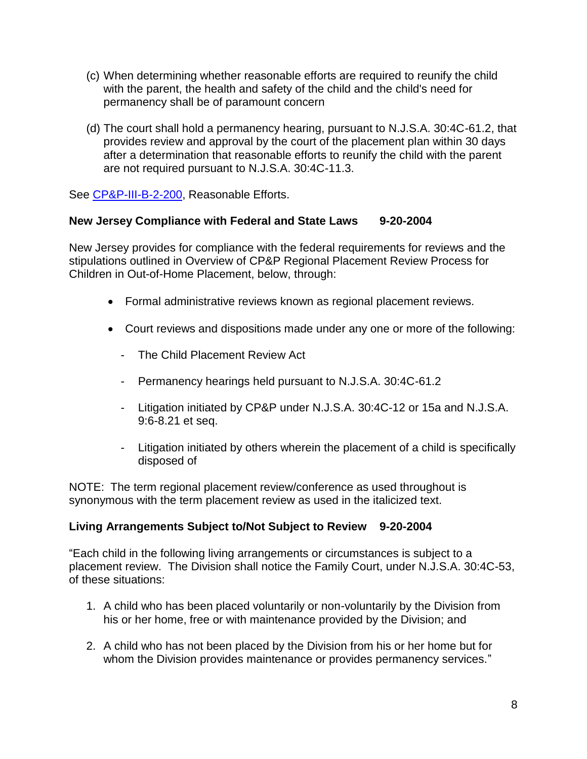- (c) When determining whether reasonable efforts are required to reunify the child with the parent, the health and safety of the child and the child's need for permanency shall be of paramount concern
- (d) The court shall hold a permanency hearing, pursuant to N.J.S.A. 30:4C-61.2, that provides review and approval by the court of the placement plan within 30 days after a determination that reasonable efforts to reunify the child with the parent are not required pursuant to N.J.S.A. 30:4C-11.3.

See [CP&P-III-B-2-200,](CPP-III-B-2-200_issuance.shtml) Reasonable Efforts.

### **New Jersey Compliance with Federal and State Laws 9-20-2004**

New Jersey provides for compliance with the federal requirements for reviews and the stipulations outlined in Overview of CP&P Regional Placement Review Process for Children in Out-of-Home Placement, below, through:

- Formal administrative reviews known as regional placement reviews.
- Court reviews and dispositions made under any one or more of the following:
	- The Child Placement Review Act
	- Permanency hearings held pursuant to N.J.S.A. 30:4C-61.2
	- Litigation initiated by CP&P under N.J.S.A. 30:4C-12 or 15a and N.J.S.A. 9:6-8.21 et seq.
	- Litigation initiated by others wherein the placement of a child is specifically disposed of

NOTE: The term regional placement review/conference as used throughout is synonymous with the term placement review as used in the italicized text.

### **Living Arrangements Subject to/Not Subject to Review 9-20-2004**

"Each child in the following living arrangements or circumstances is subject to a placement review. The Division shall notice the Family Court, under N.J.S.A. 30:4C-53, of these situations:

- 1. A child who has been placed voluntarily or non-voluntarily by the Division from his or her home, free or with maintenance provided by the Division; and
- 2. A child who has not been placed by the Division from his or her home but for whom the Division provides maintenance or provides permanency services."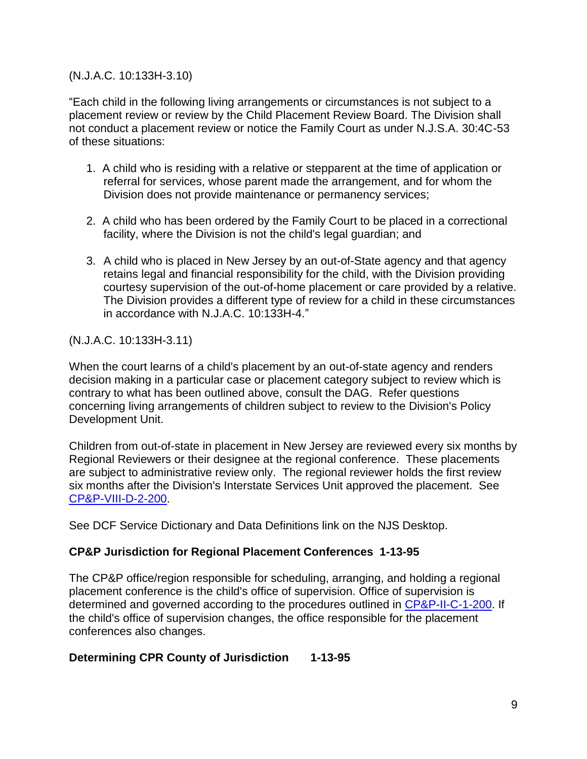### (N.J.A.C. 10:133H-3.10)

"Each child in the following living arrangements or circumstances is not subject to a placement review or review by the Child Placement Review Board. The Division shall not conduct a placement review or notice the Family Court as under N.J.S.A. 30:4C-53 of these situations:

- 1. A child who is residing with a relative or stepparent at the time of application or referral for services, whose parent made the arrangement, and for whom the Division does not provide maintenance or permanency services;
- 2. A child who has been ordered by the Family Court to be placed in a correctional facility, where the Division is not the child's legal guardian; and
- 3. A child who is placed in New Jersey by an out-of-State agency and that agency retains legal and financial responsibility for the child, with the Division providing courtesy supervision of the out-of-home placement or care provided by a relative. The Division provides a different type of review for a child in these circumstances in accordance with N.J.A.C. 10:133H-4."

(N.J.A.C. 10:133H-3.11)

When the court learns of a child's placement by an out-of-state agency and renders decision making in a particular case or placement category subject to review which is contrary to what has been outlined above, consult the DAG. Refer questions concerning living arrangements of children subject to review to the Division's Policy Development Unit.

Children from out-of-state in placement in New Jersey are reviewed every six months by Regional Reviewers or their designee at the regional conference. These placements are subject to administrative review only. The regional reviewer holds the first review six months after the Division's Interstate Services Unit approved the placement. See [CP&P-VIII-D-2-200.](CPP-VIII-D-2-200_issuance.shtml)

See DCF Service Dictionary and Data Definitions link on the NJS Desktop.

# **CP&P Jurisdiction for Regional Placement Conferences 1-13-95**

The CP&P office/region responsible for scheduling, arranging, and holding a regional placement conference is the child's office of supervision. Office of supervision is determined and governed according to the procedures outlined in [CP&P-II-C-1-200.](CPP-II-C-1-200_issuance.shtml) If the child's office of supervision changes, the office responsible for the placement conferences also changes.

### **Determining CPR County of Jurisdiction 1-13-95**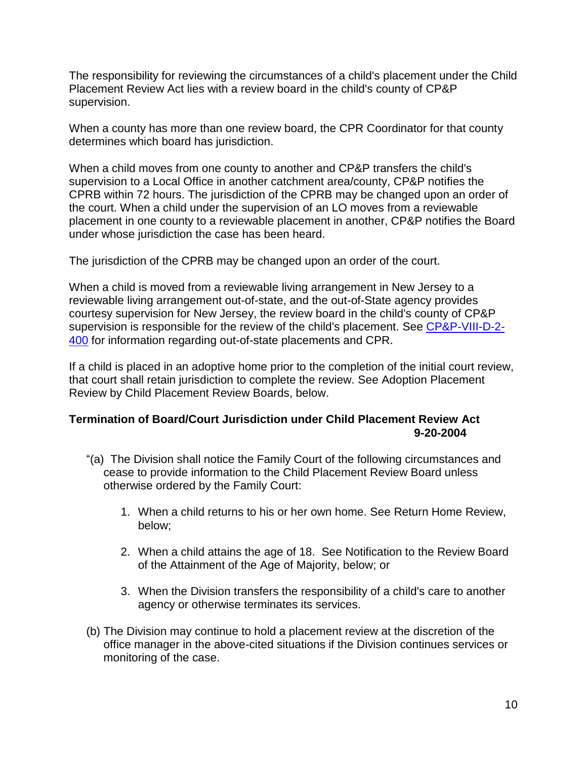The responsibility for reviewing the circumstances of a child's placement under the Child Placement Review Act lies with a review board in the child's county of CP&P supervision.

When a county has more than one review board, the CPR Coordinator for that county determines which board has jurisdiction.

When a child moves from one county to another and CP&P transfers the child's supervision to a Local Office in another catchment area/county, CP&P notifies the CPRB within 72 hours. The jurisdiction of the CPRB may be changed upon an order of the court. When a child under the supervision of an LO moves from a reviewable placement in one county to a reviewable placement in another, CP&P notifies the Board under whose jurisdiction the case has been heard.

The jurisdiction of the CPRB may be changed upon an order of the court.

When a child is moved from a reviewable living arrangement in New Jersey to a reviewable living arrangement out-of-state, and the out-of-State agency provides courtesy supervision for New Jersey, the review board in the child's county of CP&P supervision is responsible for the review of the child's placement. See [CP&P-VIII-D-2-](CPP-VIII-D-2-400_issuance.shtml) [400](CPP-VIII-D-2-400_issuance.shtml) for information regarding out-of-state placements and CPR.

If a child is placed in an adoptive home prior to the completion of the initial court review, that court shall retain jurisdiction to complete the review. See Adoption Placement Review by Child Placement Review Boards, below.

# **Termination of Board/Court Jurisdiction under Child Placement Review Act 9-20-2004**

- "(a) The Division shall notice the Family Court of the following circumstances and cease to provide information to the Child Placement Review Board unless otherwise ordered by the Family Court:
	- 1. When a child returns to his or her own home. See Return Home Review, below;
	- 2. When a child attains the age of 18. See Notification to the Review Board of the Attainment of the Age of Majority, below; or
	- 3. When the Division transfers the responsibility of a child's care to another agency or otherwise terminates its services.
- (b) The Division may continue to hold a placement review at the discretion of the office manager in the above-cited situations if the Division continues services or monitoring of the case.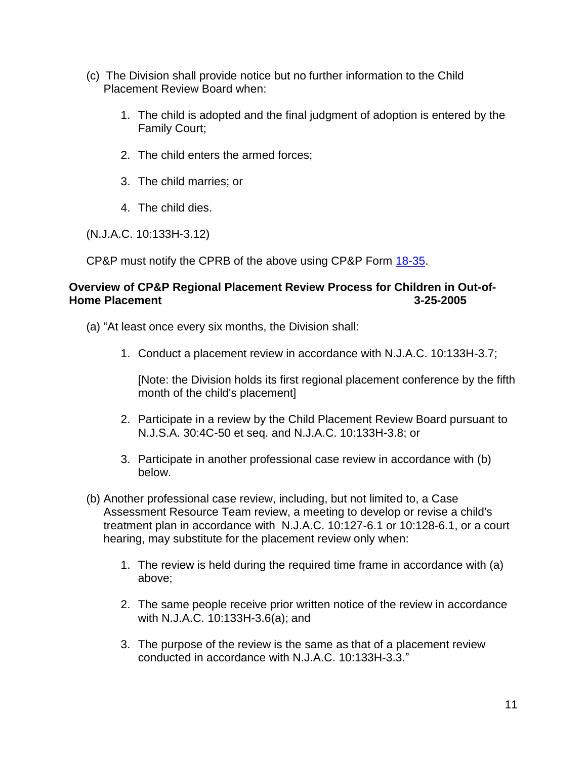- (c) The Division shall provide notice but no further information to the Child Placement Review Board when:
	- 1. The child is adopted and the final judgment of adoption is entered by the Family Court;
	- 2. The child enters the armed forces;
	- 3. The child marries; or
	- 4. The child dies.

(N.J.A.C. 10:133H-3.12)

CP&P must notify the CPRB of the above using CP&P Form [18-35.](CPP-X-A-1-18.35_issuance.shtml)

### **Overview of CP&P Regional Placement Review Process for Children in Out-of-Home Placement 3-25-2005**

- (a) "At least once every six months, the Division shall:
	- 1. Conduct a placement review in accordance with N.J.A.C. 10:133H-3.7;

[Note: the Division holds its first regional placement conference by the fifth month of the child's placement]

- 2. Participate in a review by the Child Placement Review Board pursuant to N.J.S.A. 30:4C-50 et seq. and N.J.A.C. 10:133H-3.8; or
- 3. Participate in another professional case review in accordance with (b) below.
- (b) Another professional case review, including, but not limited to, a Case Assessment Resource Team review, a meeting to develop or revise a child's treatment plan in accordance with N.J.A.C. 10:127-6.1 or 10:128-6.1, or a court hearing, may substitute for the placement review only when:
	- 1. The review is held during the required time frame in accordance with (a) above;
	- 2. The same people receive prior written notice of the review in accordance with N.J.A.C. 10:133H-3.6(a); and
	- 3. The purpose of the review is the same as that of a placement review conducted in accordance with N.J.A.C. 10:133H-3.3."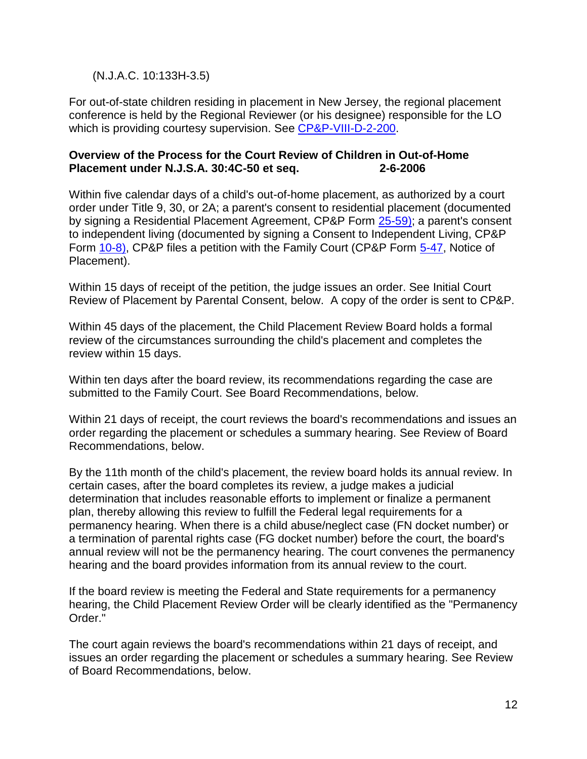### (N.J.A.C. 10:133H-3.5)

For out-of-state children residing in placement in New Jersey, the regional placement conference is held by the Regional Reviewer (or his designee) responsible for the LO which is providing courtesy supervision. See [CP&P-VIII-D-2-200.](CPP-VIII-D-2-200_issuance.shtml)

#### **Overview of the Process for the Court Review of Children in Out-of-Home Placement under N.J.S.A. 30:4C-50 et seq. 2-6-2006**

Within five calendar days of a child's out-of-home placement, as authorized by a court order under Title 9, 30, or 2A; a parent's consent to residential placement (documented by signing a Residential Placement Agreement, CP&P Form [25-59\);](CPP-X-A-1-25.59_issuance.shtml) a parent's consent to independent living (documented by signing a Consent to Independent Living, CP&P Form [10-8\),](CPP-X-A-1-10.8_issuance.shtml) CP&P files a petition with the Family Court (CP&P Form [5-47,](CPP-X-A-1-5.47_issuance.shtml) Notice of Placement).

Within 15 days of receipt of the petition, the judge issues an order. See Initial Court Review of Placement by Parental Consent, below. A copy of the order is sent to CP&P.

Within 45 days of the placement, the Child Placement Review Board holds a formal review of the circumstances surrounding the child's placement and completes the review within 15 days.

Within ten days after the board review, its recommendations regarding the case are submitted to the Family Court. See Board Recommendations, below.

Within 21 days of receipt, the court reviews the board's recommendations and issues an order regarding the placement or schedules a summary hearing. See Review of Board Recommendations, below.

By the 11th month of the child's placement, the review board holds its annual review. In certain cases, after the board completes its review, a judge makes a judicial determination that includes reasonable efforts to implement or finalize a permanent plan, thereby allowing this review to fulfill the Federal legal requirements for a permanency hearing. When there is a child abuse/neglect case (FN docket number) or a termination of parental rights case (FG docket number) before the court, the board's annual review will not be the permanency hearing. The court convenes the permanency hearing and the board provides information from its annual review to the court.

If the board review is meeting the Federal and State requirements for a permanency hearing, the Child Placement Review Order will be clearly identified as the "Permanency Order."

The court again reviews the board's recommendations within 21 days of receipt, and issues an order regarding the placement or schedules a summary hearing. See Review of Board Recommendations, below.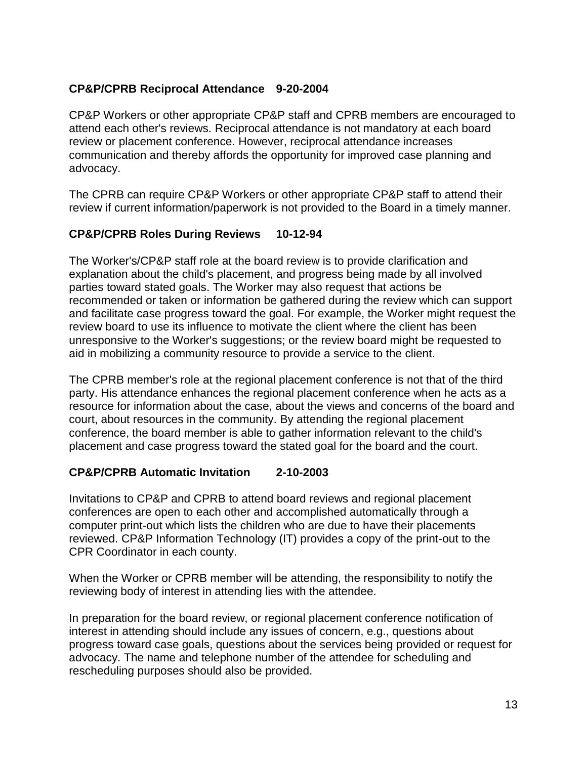# **CP&P/CPRB Reciprocal Attendance 9-20-2004**

CP&P Workers or other appropriate CP&P staff and CPRB members are encouraged to attend each other's reviews. Reciprocal attendance is not mandatory at each board review or placement conference. However, reciprocal attendance increases communication and thereby affords the opportunity for improved case planning and advocacy.

The CPRB can require CP&P Workers or other appropriate CP&P staff to attend their review if current information/paperwork is not provided to the Board in a timely manner.

### **CP&P/CPRB Roles During Reviews 10-12-94**

The Worker's/CP&P staff role at the board review is to provide clarification and explanation about the child's placement, and progress being made by all involved parties toward stated goals. The Worker may also request that actions be recommended or taken or information be gathered during the review which can support and facilitate case progress toward the goal. For example, the Worker might request the review board to use its influence to motivate the client where the client has been unresponsive to the Worker's suggestions; or the review board might be requested to aid in mobilizing a community resource to provide a service to the client.

The CPRB member's role at the regional placement conference is not that of the third party. His attendance enhances the regional placement conference when he acts as a resource for information about the case, about the views and concerns of the board and court, about resources in the community. By attending the regional placement conference, the board member is able to gather information relevant to the child's placement and case progress toward the stated goal for the board and the court.

### **CP&P/CPRB Automatic Invitation 2-10-2003**

Invitations to CP&P and CPRB to attend board reviews and regional placement conferences are open to each other and accomplished automatically through a computer print-out which lists the children who are due to have their placements reviewed. CP&P Information Technology (IT) provides a copy of the print-out to the CPR Coordinator in each county.

When the Worker or CPRB member will be attending, the responsibility to notify the reviewing body of interest in attending lies with the attendee.

In preparation for the board review, or regional placement conference notification of interest in attending should include any issues of concern, e.g., questions about progress toward case goals, questions about the services being provided or request for advocacy. The name and telephone number of the attendee for scheduling and rescheduling purposes should also be provided.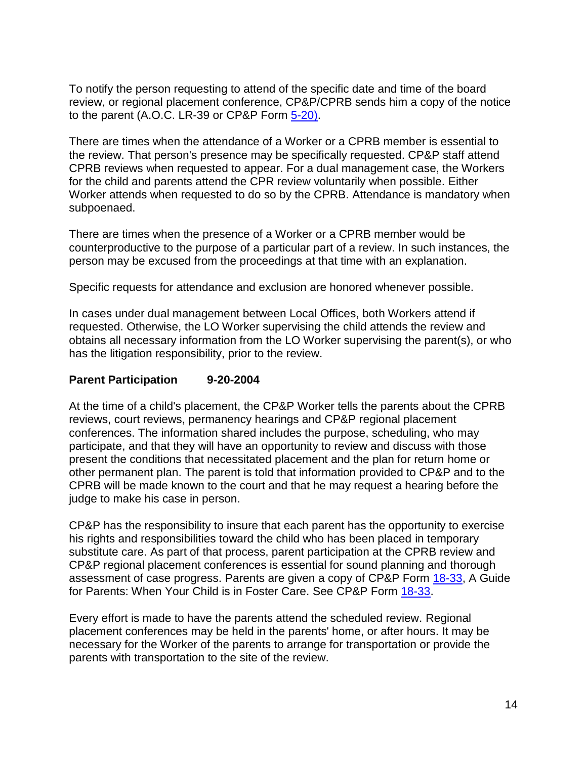To notify the person requesting to attend of the specific date and time of the board review, or regional placement conference, CP&P/CPRB sends him a copy of the notice to the parent  $(A.O.C. LR-39 or CP&P Form  $5-20$ ).$ 

There are times when the attendance of a Worker or a CPRB member is essential to the review. That person's presence may be specifically requested. CP&P staff attend CPRB reviews when requested to appear. For a dual management case, the Workers for the child and parents attend the CPR review voluntarily when possible. Either Worker attends when requested to do so by the CPRB. Attendance is mandatory when subpoenaed.

There are times when the presence of a Worker or a CPRB member would be counterproductive to the purpose of a particular part of a review. In such instances, the person may be excused from the proceedings at that time with an explanation.

Specific requests for attendance and exclusion are honored whenever possible.

In cases under dual management between Local Offices, both Workers attend if requested. Otherwise, the LO Worker supervising the child attends the review and obtains all necessary information from the LO Worker supervising the parent(s), or who has the litigation responsibility, prior to the review.

### **Parent Participation 9-20-2004**

At the time of a child's placement, the CP&P Worker tells the parents about the CPRB reviews, court reviews, permanency hearings and CP&P regional placement conferences. The information shared includes the purpose, scheduling, who may participate, and that they will have an opportunity to review and discuss with those present the conditions that necessitated placement and the plan for return home or other permanent plan. The parent is told that information provided to CP&P and to the CPRB will be made known to the court and that he may request a hearing before the judge to make his case in person.

CP&P has the responsibility to insure that each parent has the opportunity to exercise his rights and responsibilities toward the child who has been placed in temporary substitute care. As part of that process, parent participation at the CPRB review and CP&P regional placement conferences is essential for sound planning and thorough assessment of case progress. Parents are given a copy of CP&P Form [18-33,](CPP-X-A-1-18.33_issuance.shtml) A Guide for Parents: When Your Child is in Foster Care. See CP&P Form [18-33.](CPP-X-A-1-18.33_issuance.shtml)

Every effort is made to have the parents attend the scheduled review. Regional placement conferences may be held in the parents' home, or after hours. It may be necessary for the Worker of the parents to arrange for transportation or provide the parents with transportation to the site of the review.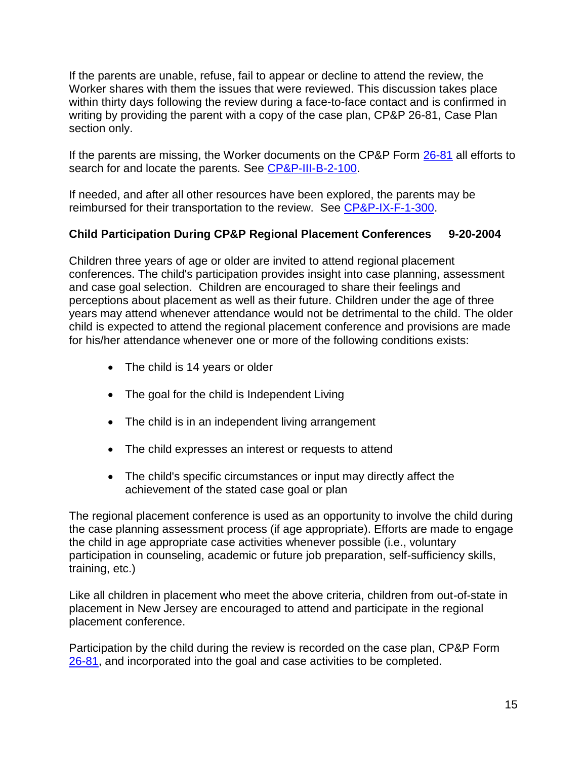If the parents are unable, refuse, fail to appear or decline to attend the review, the Worker shares with them the issues that were reviewed. This discussion takes place within thirty days following the review during a face-to-face contact and is confirmed in writing by providing the parent with a copy of the case plan, CP&P 26-81, Case Plan section only.

If the parents are missing, the Worker documents on the CP&P Form [26-81](CPP-X-A-1-26.81ab_issuance.shtml) all efforts to search for and locate the parents. See [CP&P-III-B-2-100.](CPP-III-B-2-100_issuance.shtml)

If needed, and after all other resources have been explored, the parents may be reimbursed for their transportation to the review. See [CP&P-IX-F-1-300.](CPP-IX-F-1-300_issuance.shtml)

# **Child Participation During CP&P Regional Placement Conferences 9-20-2004**

Children three years of age or older are invited to attend regional placement conferences. The child's participation provides insight into case planning, assessment and case goal selection. Children are encouraged to share their feelings and perceptions about placement as well as their future. Children under the age of three years may attend whenever attendance would not be detrimental to the child. The older child is expected to attend the regional placement conference and provisions are made for his/her attendance whenever one or more of the following conditions exists:

- The child is 14 years or older
- The goal for the child is Independent Living
- The child is in an independent living arrangement
- The child expresses an interest or requests to attend
- The child's specific circumstances or input may directly affect the achievement of the stated case goal or plan

The regional placement conference is used as an opportunity to involve the child during the case planning assessment process (if age appropriate). Efforts are made to engage the child in age appropriate case activities whenever possible (i.e., voluntary participation in counseling, academic or future job preparation, self-sufficiency skills, training, etc.)

Like all children in placement who meet the above criteria, children from out-of-state in placement in New Jersey are encouraged to attend and participate in the regional placement conference.

Participation by the child during the review is recorded on the case plan, CP&P Form [26-81,](CPP-X-A-1-26.81ab_issuance.shtml) and incorporated into the goal and case activities to be completed.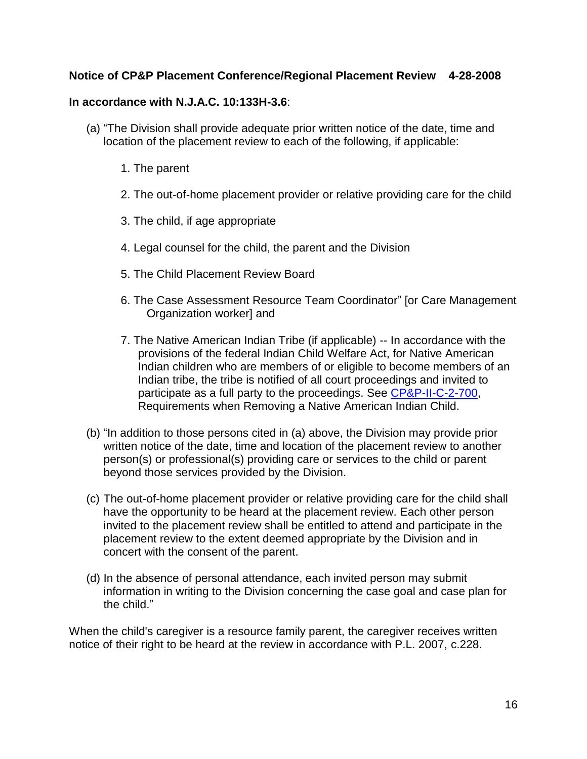### **Notice of CP&P Placement Conference/Regional Placement Review 4-28-2008**

#### **In accordance with N.J.A.C. 10:133H-3.6**:

- (a) "The Division shall provide adequate prior written notice of the date, time and location of the placement review to each of the following, if applicable:
	- 1. The parent
	- 2. The out-of-home placement provider or relative providing care for the child
	- 3. The child, if age appropriate
	- 4. Legal counsel for the child, the parent and the Division
	- 5. The Child Placement Review Board
	- 6. The Case Assessment Resource Team Coordinator" [or Care Management Organization worker] and
	- 7. The Native American Indian Tribe (if applicable) -- In accordance with the provisions of the federal Indian Child Welfare Act, for Native American Indian children who are members of or eligible to become members of an Indian tribe, the tribe is notified of all court proceedings and invited to participate as a full party to the proceedings. See [CP&P-II-C-2-700,](CPP-II-C-2-700_issuance.shtml) Requirements when Removing a Native American Indian Child.
- (b) "In addition to those persons cited in (a) above, the Division may provide prior written notice of the date, time and location of the placement review to another person(s) or professional(s) providing care or services to the child or parent beyond those services provided by the Division.
- (c) The out-of-home placement provider or relative providing care for the child shall have the opportunity to be heard at the placement review. Each other person invited to the placement review shall be entitled to attend and participate in the placement review to the extent deemed appropriate by the Division and in concert with the consent of the parent.
- (d) In the absence of personal attendance, each invited person may submit information in writing to the Division concerning the case goal and case plan for the child."

When the child's caregiver is a resource family parent, the caregiver receives written notice of their right to be heard at the review in accordance with P.L. 2007, c.228.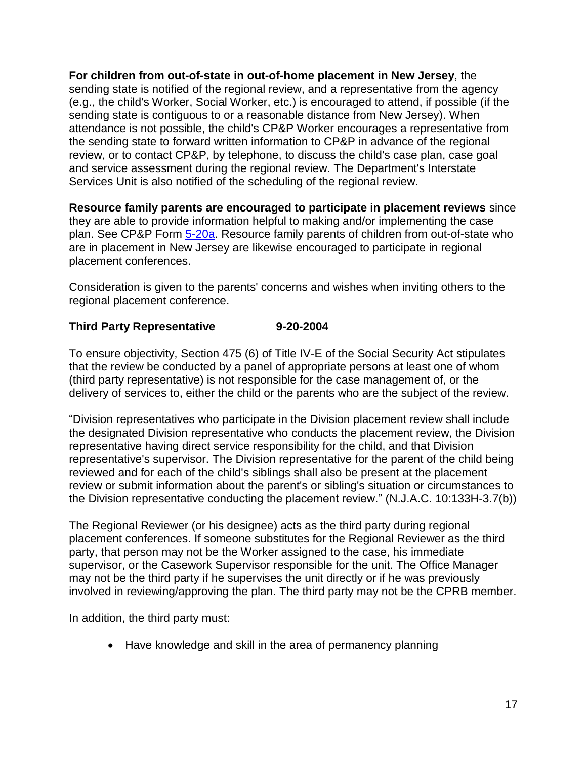**For children from out-of-state in out-of-home placement in New Jersey**, the sending state is notified of the regional review, and a representative from the agency (e.g., the child's Worker, Social Worker, etc.) is encouraged to attend, if possible (if the sending state is contiguous to or a reasonable distance from New Jersey). When attendance is not possible, the child's CP&P Worker encourages a representative from the sending state to forward written information to CP&P in advance of the regional review, or to contact CP&P, by telephone, to discuss the child's case plan, case goal and service assessment during the regional review. The Department's Interstate Services Unit is also notified of the scheduling of the regional review.

**Resource family parents are encouraged to participate in placement reviews** since they are able to provide information helpful to making and/or implementing the case plan. See CP&P Form [5-20a.](CPP-X-A-1-5.20a_issuance.shtml) Resource family parents of children from out-of-state who are in placement in New Jersey are likewise encouraged to participate in regional placement conferences.

Consideration is given to the parents' concerns and wishes when inviting others to the regional placement conference.

# **Third Party Representative 9-20-2004**

To ensure objectivity, Section 475 (6) of Title IV-E of the Social Security Act stipulates that the review be conducted by a panel of appropriate persons at least one of whom (third party representative) is not responsible for the case management of, or the delivery of services to, either the child or the parents who are the subject of the review.

"Division representatives who participate in the Division placement review shall include the designated Division representative who conducts the placement review, the Division representative having direct service responsibility for the child, and that Division representative's supervisor. The Division representative for the parent of the child being reviewed and for each of the child's siblings shall also be present at the placement review or submit information about the parent's or sibling's situation or circumstances to the Division representative conducting the placement review." (N.J.A.C. 10:133H-3.7(b))

The Regional Reviewer (or his designee) acts as the third party during regional placement conferences. If someone substitutes for the Regional Reviewer as the third party, that person may not be the Worker assigned to the case, his immediate supervisor, or the Casework Supervisor responsible for the unit. The Office Manager may not be the third party if he supervises the unit directly or if he was previously involved in reviewing/approving the plan. The third party may not be the CPRB member.

In addition, the third party must:

• Have knowledge and skill in the area of permanency planning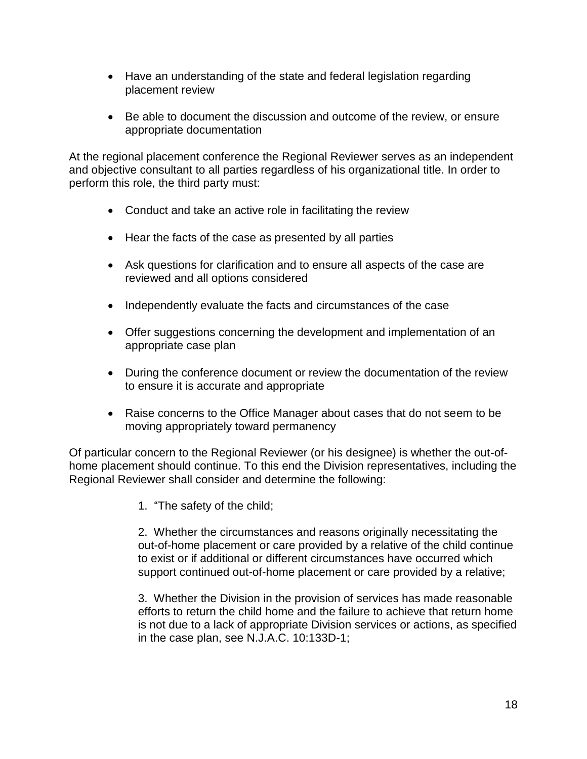- Have an understanding of the state and federal legislation regarding placement review
- Be able to document the discussion and outcome of the review, or ensure appropriate documentation

At the regional placement conference the Regional Reviewer serves as an independent and objective consultant to all parties regardless of his organizational title. In order to perform this role, the third party must:

- Conduct and take an active role in facilitating the review
- Hear the facts of the case as presented by all parties
- Ask questions for clarification and to ensure all aspects of the case are reviewed and all options considered
- Independently evaluate the facts and circumstances of the case
- Offer suggestions concerning the development and implementation of an appropriate case plan
- During the conference document or review the documentation of the review to ensure it is accurate and appropriate
- Raise concerns to the Office Manager about cases that do not seem to be moving appropriately toward permanency

Of particular concern to the Regional Reviewer (or his designee) is whether the out-ofhome placement should continue. To this end the Division representatives, including the Regional Reviewer shall consider and determine the following:

1. "The safety of the child;

2. Whether the circumstances and reasons originally necessitating the out-of-home placement or care provided by a relative of the child continue to exist or if additional or different circumstances have occurred which support continued out-of-home placement or care provided by a relative;

3. Whether the Division in the provision of services has made reasonable efforts to return the child home and the failure to achieve that return home is not due to a lack of appropriate Division services or actions, as specified in the case plan, see N.J.A.C. 10:133D-1;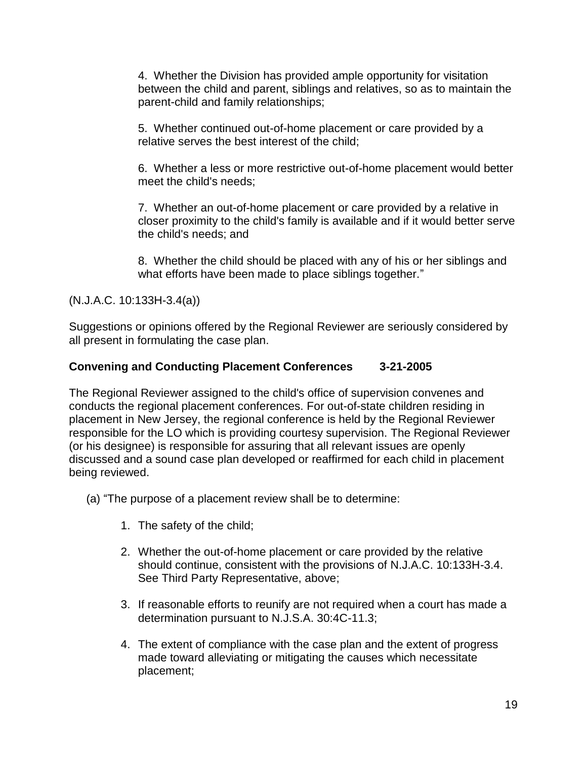4. Whether the Division has provided ample opportunity for visitation between the child and parent, siblings and relatives, so as to maintain the parent-child and family relationships;

5. Whether continued out-of-home placement or care provided by a relative serves the best interest of the child;

6. Whether a less or more restrictive out-of-home placement would better meet the child's needs;

7. Whether an out-of-home placement or care provided by a relative in closer proximity to the child's family is available and if it would better serve the child's needs; and

8. Whether the child should be placed with any of his or her siblings and what efforts have been made to place siblings together."

(N.J.A.C. 10:133H-3.4(a))

Suggestions or opinions offered by the Regional Reviewer are seriously considered by all present in formulating the case plan.

# **Convening and Conducting Placement Conferences 3-21-2005**

The Regional Reviewer assigned to the child's office of supervision convenes and conducts the regional placement conferences. For out-of-state children residing in placement in New Jersey, the regional conference is held by the Regional Reviewer responsible for the LO which is providing courtesy supervision. The Regional Reviewer (or his designee) is responsible for assuring that all relevant issues are openly discussed and a sound case plan developed or reaffirmed for each child in placement being reviewed.

(a) "The purpose of a placement review shall be to determine:

- 1. The safety of the child;
- 2. Whether the out-of-home placement or care provided by the relative should continue, consistent with the provisions of N.J.A.C. 10:133H-3.4. See Third Party Representative, above;
- 3. If reasonable efforts to reunify are not required when a court has made a determination pursuant to N.J.S.A. 30:4C-11.3;
- 4. The extent of compliance with the case plan and the extent of progress made toward alleviating or mitigating the causes which necessitate placement;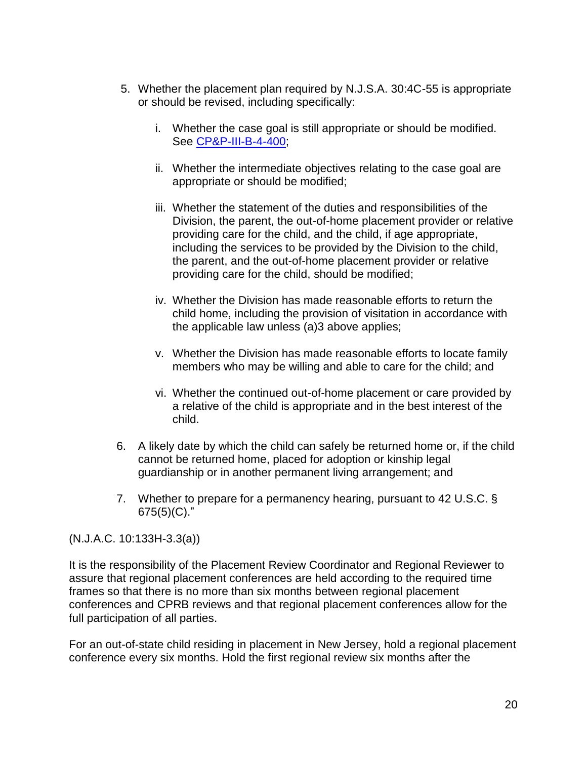- 5. Whether the placement plan required by N.J.S.A. 30:4C-55 is appropriate or should be revised, including specifically:
	- i. Whether the case goal is still appropriate or should be modified. See [CP&P-III-B-4-400;](CPP-III-B-4-400_issuance.shtml)
	- ii. Whether the intermediate objectives relating to the case goal are appropriate or should be modified;
	- iii. Whether the statement of the duties and responsibilities of the Division, the parent, the out-of-home placement provider or relative providing care for the child, and the child, if age appropriate, including the services to be provided by the Division to the child, the parent, and the out-of-home placement provider or relative providing care for the child, should be modified;
	- iv. Whether the Division has made reasonable efforts to return the child home, including the provision of visitation in accordance with the applicable law unless (a)3 above applies;
	- v. Whether the Division has made reasonable efforts to locate family members who may be willing and able to care for the child; and
	- vi. Whether the continued out-of-home placement or care provided by a relative of the child is appropriate and in the best interest of the child.
- 6. A likely date by which the child can safely be returned home or, if the child cannot be returned home, placed for adoption or kinship legal guardianship or in another permanent living arrangement; and
- 7. Whether to prepare for a permanency hearing, pursuant to 42 U.S.C. § 675(5)(C)."

(N.J.A.C. 10:133H-3.3(a))

It is the responsibility of the Placement Review Coordinator and Regional Reviewer to assure that regional placement conferences are held according to the required time frames so that there is no more than six months between regional placement conferences and CPRB reviews and that regional placement conferences allow for the full participation of all parties.

For an out-of-state child residing in placement in New Jersey, hold a regional placement conference every six months. Hold the first regional review six months after the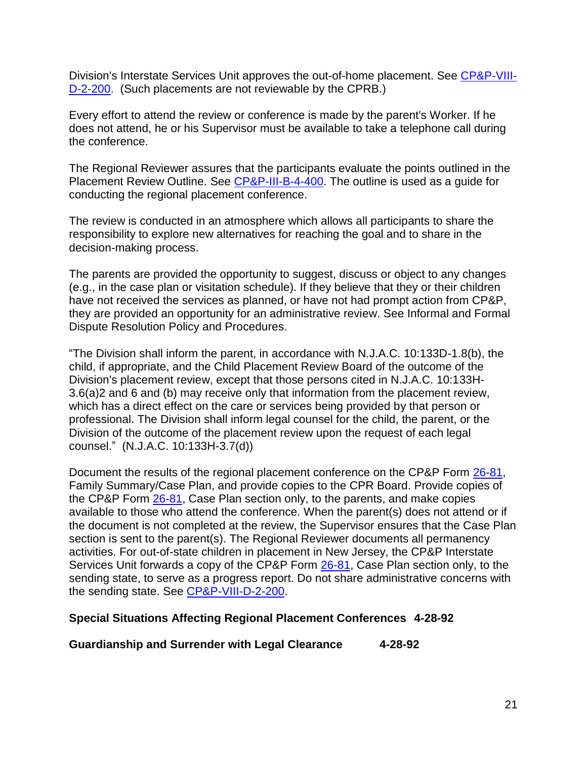Division's Interstate Services Unit approves the out-of-home placement. See [CP&P-VIII-](CPP-VIII-D-2-200_issuance.shtml)[D-2-200.](CPP-VIII-D-2-200_issuance.shtml) (Such placements are not reviewable by the CPRB.)

Every effort to attend the review or conference is made by the parent's Worker. If he does not attend, he or his Supervisor must be available to take a telephone call during the conference.

The Regional Reviewer assures that the participants evaluate the points outlined in the Placement Review Outline. See [CP&P-III-B-4-400.](CPP-III-B-4-400_issuance.shtml) The outline is used as a guide for conducting the regional placement conference.

The review is conducted in an atmosphere which allows all participants to share the responsibility to explore new alternatives for reaching the goal and to share in the decision-making process.

The parents are provided the opportunity to suggest, discuss or object to any changes (e.g., in the case plan or visitation schedule). If they believe that they or their children have not received the services as planned, or have not had prompt action from CP&P, they are provided an opportunity for an administrative review. See Informal and Formal Dispute Resolution Policy and Procedures.

"The Division shall inform the parent, in accordance with N.J.A.C. 10:133D-1.8(b), the child, if appropriate, and the Child Placement Review Board of the outcome of the Division's placement review, except that those persons cited in N.J.A.C. 10:133H-3.6(a)2 and 6 and (b) may receive only that information from the placement review, which has a direct effect on the care or services being provided by that person or professional. The Division shall inform legal counsel for the child, the parent, or the Division of the outcome of the placement review upon the request of each legal counsel." (N.J.A.C. 10:133H-3.7(d))

Document the results of the regional placement conference on the CP&P Form [26-81,](CPP-X-A-1-26.81ab_issuance.shtml) Family Summary/Case Plan, and provide copies to the CPR Board. Provide copies of the CP&P Form [26-81,](CPP-X-A-1-26.81ab_issuance.shtml) Case Plan section only, to the parents, and make copies available to those who attend the conference. When the parent(s) does not attend or if the document is not completed at the review, the Supervisor ensures that the Case Plan section is sent to the parent(s). The Regional Reviewer documents all permanency activities. For out-of-state children in placement in New Jersey, the CP&P Interstate Services Unit forwards a copy of the CP&P Form [26-81,](CPP-X-A-1-26.81ab_issuance.shtml) Case Plan section only, to the sending state, to serve as a progress report. Do not share administrative concerns with the sending state. See [CP&P-VIII-D-2-200.](CPP-VIII-D-2-200_issuance.shtml)

#### **Special Situations Affecting Regional Placement Conferences 4-28-92**

**Guardianship and Surrender with Legal Clearance 4-28-92**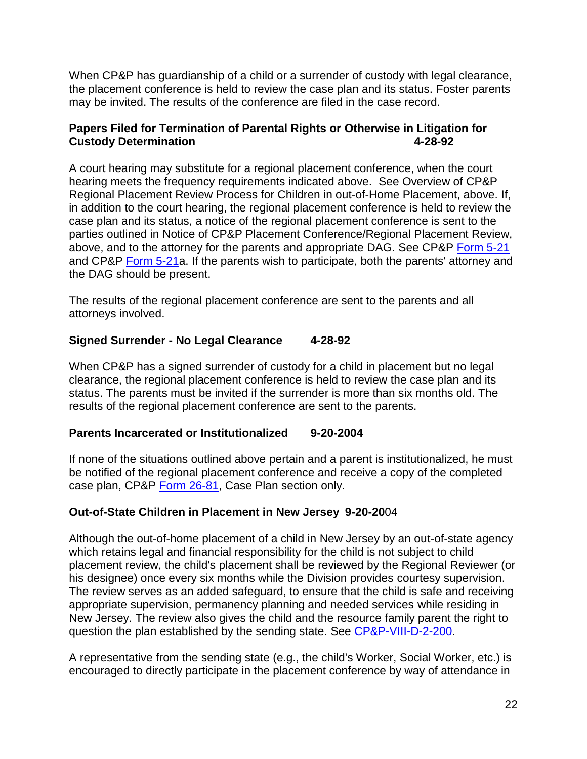When CP&P has guardianship of a child or a surrender of custody with legal clearance, the placement conference is held to review the case plan and its status. Foster parents may be invited. The results of the conference are filed in the case record.

# **Papers Filed for Termination of Parental Rights or Otherwise in Litigation for Custody Determination 4-28-92**

A court hearing may substitute for a regional placement conference, when the court hearing meets the frequency requirements indicated above. See Overview of CP&P Regional Placement Review Process for Children in out-of-Home Placement, above. If, in addition to the court hearing, the regional placement conference is held to review the case plan and its status, a notice of the regional placement conference is sent to the parties outlined in Notice of CP&P Placement Conference/Regional Placement Review, above, and to the attorney for the parents and appropriate DAG. See CP&P [Form 5-21](CPP-X-A-1-5.21_issuance.shtml) and CP&P [Form 5-21a](CPP-X-A-1-5.21_issuance.shtml). If the parents wish to participate, both the parents' attorney and the DAG should be present.

The results of the regional placement conference are sent to the parents and all attorneys involved.

# **Signed Surrender - No Legal Clearance 4-28-92**

When CP&P has a signed surrender of custody for a child in placement but no legal clearance, the regional placement conference is held to review the case plan and its status. The parents must be invited if the surrender is more than six months old. The results of the regional placement conference are sent to the parents.

### **Parents Incarcerated or Institutionalized 9-20-2004**

If none of the situations outlined above pertain and a parent is institutionalized, he must be notified of the regional placement conference and receive a copy of the completed case plan, CP&P [Form 26-81,](CPP-X-A-1-26.81_issuance.shtml) Case Plan section only.

# **Out-of-State Children in Placement in New Jersey 9-20-20**04

Although the out-of-home placement of a child in New Jersey by an out-of-state agency which retains legal and financial responsibility for the child is not subject to child placement review, the child's placement shall be reviewed by the Regional Reviewer (or his designee) once every six months while the Division provides courtesy supervision. The review serves as an added safeguard, to ensure that the child is safe and receiving appropriate supervision, permanency planning and needed services while residing in New Jersey. The review also gives the child and the resource family parent the right to question the plan established by the sending state. See [CP&P-VIII-D-2-200.](CPP-VIII-D-2-200_issuance.shtml)

A representative from the sending state (e.g., the child's Worker, Social Worker, etc.) is encouraged to directly participate in the placement conference by way of attendance in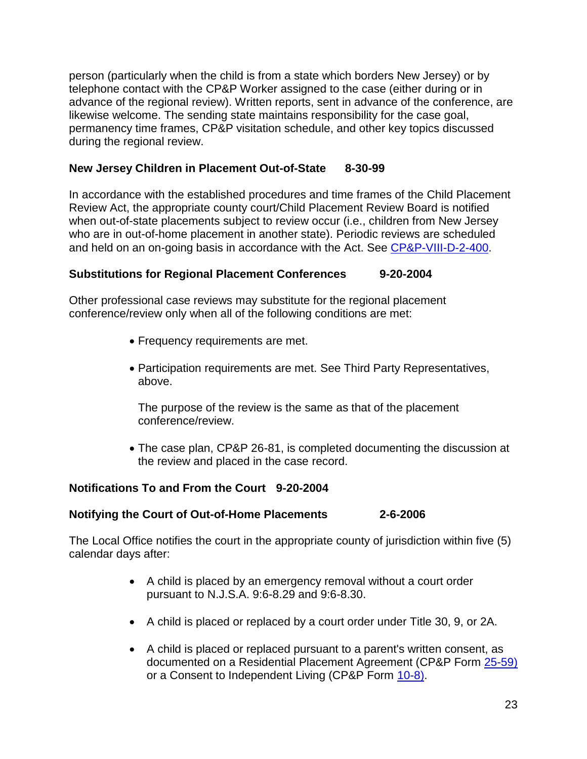person (particularly when the child is from a state which borders New Jersey) or by telephone contact with the CP&P Worker assigned to the case (either during or in advance of the regional review). Written reports, sent in advance of the conference, are likewise welcome. The sending state maintains responsibility for the case goal, permanency time frames, CP&P visitation schedule, and other key topics discussed during the regional review.

### **New Jersey Children in Placement Out-of-State 8-30-99**

In accordance with the established procedures and time frames of the Child Placement Review Act, the appropriate county court/Child Placement Review Board is notified when out-of-state placements subject to review occur (i.e., children from New Jersey who are in out-of-home placement in another state). Periodic reviews are scheduled and held on an on-going basis in accordance with the Act. See [CP&P-VIII-D-2-400.](CPP-VIII-D-2-400_issuance.shtml)

### **Substitutions for Regional Placement Conferences 9-20-2004**

Other professional case reviews may substitute for the regional placement conference/review only when all of the following conditions are met:

- Frequency requirements are met.
- Participation requirements are met. See Third Party Representatives, above.

The purpose of the review is the same as that of the placement conference/review.

 The case plan, CP&P 26-81, is completed documenting the discussion at the review and placed in the case record.

# **Notifications To and From the Court 9-20-2004**

### **Notifying the Court of Out-of-Home Placements 2-6-2006**

The Local Office notifies the court in the appropriate county of jurisdiction within five (5) calendar days after:

- A child is placed by an emergency removal without a court order pursuant to N.J.S.A. 9:6-8.29 and 9:6-8.30.
- A child is placed or replaced by a court order under Title 30, 9, or 2A.
- A child is placed or replaced pursuant to a parent's written consent, as documented on a Residential Placement Agreement (CP&P Form [25-59\)](CPP-X-A-1-25.59_issuance.shtml) or a Consent to Independent Living (CP&P Form [10-8\).](CPP-X-A-1-10.8_issuance.shtml)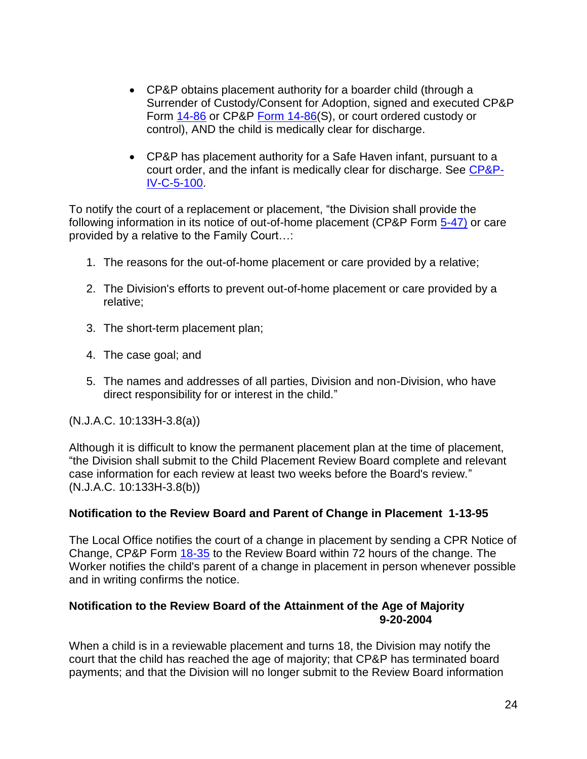- CP&P obtains placement authority for a boarder child (through a Surrender of Custody/Consent for Adoption, signed and executed CP&P Form [14-86](CPP-X-A-1-14.86_issuance.shtml) or CP&P [Form 14-86\(](CPP-X-A-1-14.86_issuance.shtml)S), or court ordered custody or control), AND the child is medically clear for discharge.
- CP&P has placement authority for a Safe Haven infant, pursuant to a court order, and the infant is medically clear for discharge. See [CP&P-](CPP-IV-C-5-100_issuance.shtml)[IV-C-5-100.](CPP-IV-C-5-100_issuance.shtml)

To notify the court of a replacement or placement, "the Division shall provide the following information in its notice of out-of-home placement (CP&P Form [5-47\)](CPP-X-A-1-5.47_issuance.shtml) or care provided by a relative to the Family Court…:

- 1. The reasons for the out-of-home placement or care provided by a relative;
- 2. The Division's efforts to prevent out-of-home placement or care provided by a relative;
- 3. The short-term placement plan;
- 4. The case goal; and
- 5. The names and addresses of all parties, Division and non-Division, who have direct responsibility for or interest in the child."

(N.J.A.C. 10:133H-3.8(a))

Although it is difficult to know the permanent placement plan at the time of placement, "the Division shall submit to the Child Placement Review Board complete and relevant case information for each review at least two weeks before the Board's review." (N.J.A.C. 10:133H-3.8(b))

# **Notification to the Review Board and Parent of Change in Placement 1-13-95**

The Local Office notifies the court of a change in placement by sending a CPR Notice of Change, CP&P Form [18-35](CPP-X-A-1-18.35_issuance.shtml) to the Review Board within 72 hours of the change. The Worker notifies the child's parent of a change in placement in person whenever possible and in writing confirms the notice.

### **Notification to the Review Board of the Attainment of the Age of Majority 9-20-2004**

When a child is in a reviewable placement and turns 18, the Division may notify the court that the child has reached the age of majority; that CP&P has terminated board payments; and that the Division will no longer submit to the Review Board information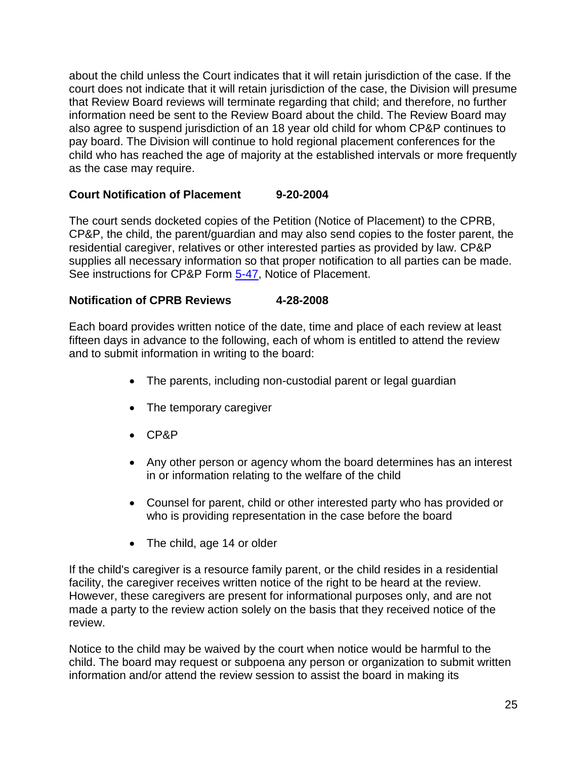about the child unless the Court indicates that it will retain jurisdiction of the case. If the court does not indicate that it will retain jurisdiction of the case, the Division will presume that Review Board reviews will terminate regarding that child; and therefore, no further information need be sent to the Review Board about the child. The Review Board may also agree to suspend jurisdiction of an 18 year old child for whom CP&P continues to pay board. The Division will continue to hold regional placement conferences for the child who has reached the age of majority at the established intervals or more frequently as the case may require.

### **Court Notification of Placement 9-20-2004**

The court sends docketed copies of the Petition (Notice of Placement) to the CPRB, CP&P, the child, the parent/guardian and may also send copies to the foster parent, the residential caregiver, relatives or other interested parties as provided by law. CP&P supplies all necessary information so that proper notification to all parties can be made. See instructions for CP&P Form [5-47,](CPP-X-A-1-5.47_issuance.shtml) Notice of Placement.

### **Notification of CPRB Reviews 4-28-2008**

Each board provides written notice of the date, time and place of each review at least fifteen days in advance to the following, each of whom is entitled to attend the review and to submit information in writing to the board:

- The parents, including non-custodial parent or legal guardian
- The temporary caregiver
- CP&P
- Any other person or agency whom the board determines has an interest in or information relating to the welfare of the child
- Counsel for parent, child or other interested party who has provided or who is providing representation in the case before the board
- The child, age 14 or older

If the child's caregiver is a resource family parent, or the child resides in a residential facility, the caregiver receives written notice of the right to be heard at the review. However, these caregivers are present for informational purposes only, and are not made a party to the review action solely on the basis that they received notice of the review.

Notice to the child may be waived by the court when notice would be harmful to the child. The board may request or subpoena any person or organization to submit written information and/or attend the review session to assist the board in making its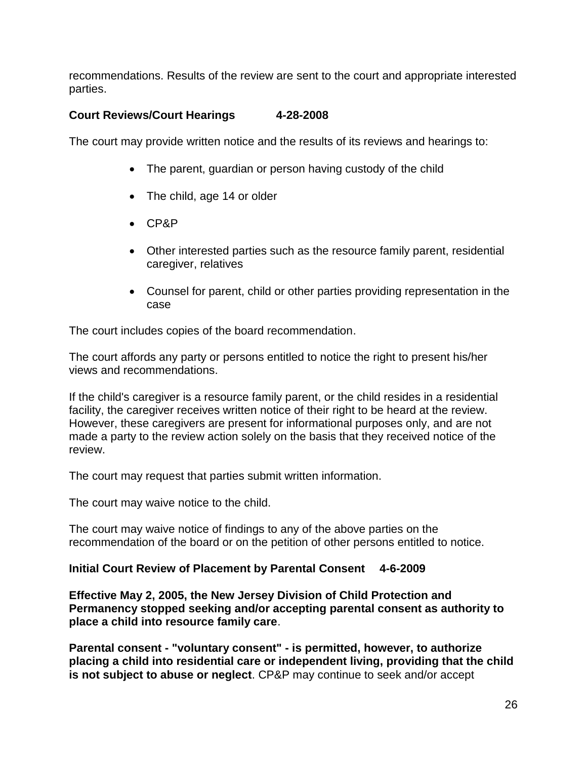recommendations. Results of the review are sent to the court and appropriate interested parties.

# **Court Reviews/Court Hearings 4-28-2008**

The court may provide written notice and the results of its reviews and hearings to:

- The parent, guardian or person having custody of the child
- The child, age 14 or older
- CP&P
- Other interested parties such as the resource family parent, residential caregiver, relatives
- Counsel for parent, child or other parties providing representation in the case

The court includes copies of the board recommendation.

The court affords any party or persons entitled to notice the right to present his/her views and recommendations.

If the child's caregiver is a resource family parent, or the child resides in a residential facility, the caregiver receives written notice of their right to be heard at the review. However, these caregivers are present for informational purposes only, and are not made a party to the review action solely on the basis that they received notice of the review.

The court may request that parties submit written information.

The court may waive notice to the child.

The court may waive notice of findings to any of the above parties on the recommendation of the board or on the petition of other persons entitled to notice.

### **Initial Court Review of Placement by Parental Consent 4-6-2009**

**Effective May 2, 2005, the New Jersey Division of Child Protection and Permanency stopped seeking and/or accepting parental consent as authority to place a child into resource family care**.

**Parental consent - "voluntary consent" - is permitted, however, to authorize placing a child into residential care or independent living, providing that the child is not subject to abuse or neglect**. CP&P may continue to seek and/or accept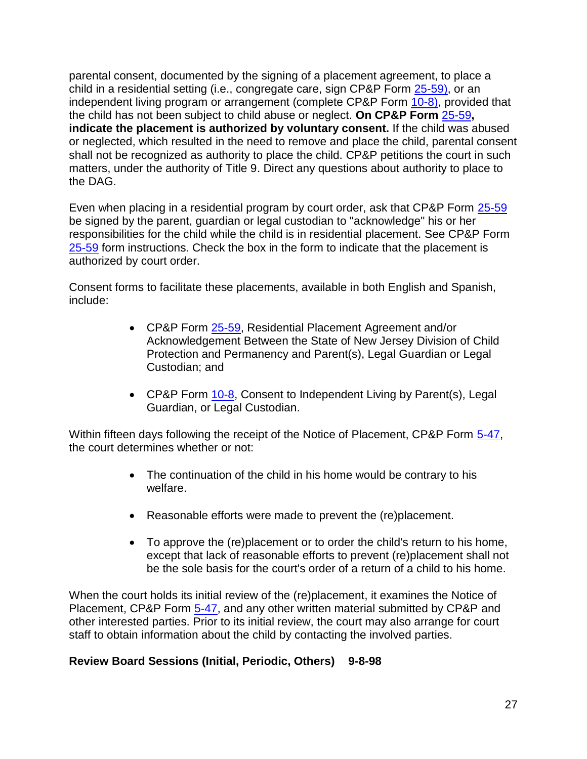parental consent, documented by the signing of a placement agreement, to place a child in a residential setting (i.e., congregate care, sign CP&P Form [25-59\),](25-59.doc) or an independent living program or arrangement (complete CP&P Form [10-8\),](CPP-X-A-1-10.8_issuance.shtml) provided that the child has not been subject to child abuse or neglect. **On CP&P Form** [25-59](CPP-X-A-1-25.59_issuance.shtml)**, indicate the placement is authorized by voluntary consent.** If the child was abused or neglected, which resulted in the need to remove and place the child, parental consent shall not be recognized as authority to place the child. CP&P petitions the court in such matters, under the authority of Title 9. Direct any questions about authority to place to the DAG.

Even when placing in a residential program by court order, ask that CP&P Form [25-59](CPP-X-A-1-25.59_issuance.shtml) be signed by the parent, guardian or legal custodian to "acknowledge" his or her responsibilities for the child while the child is in residential placement. See CP&P Form [25-59](CPP-X-A-1-25.59_issuance.shtml) form instructions. Check the box in the form to indicate that the placement is authorized by court order.

Consent forms to facilitate these placements, available in both English and Spanish, include:

- CP&P Form [25-59,](CPP-X-A-1-25.59_issuance.shtml) Residential Placement Agreement and/or Acknowledgement Between the State of New Jersey Division of Child Protection and Permanency and Parent(s), Legal Guardian or Legal Custodian; and
- CP&P Form [10-8,](CPP-X-A-1-10.8_issuance.shtml) Consent to Independent Living by Parent(s), Legal Guardian, or Legal Custodian.

Within fifteen days following the receipt of the Notice of Placement, CP&P Form [5-47,](CPP-X-A-1-5.47_issuance.shtml) the court determines whether or not:

- The continuation of the child in his home would be contrary to his welfare.
- Reasonable efforts were made to prevent the (re)placement.
- To approve the (re)placement or to order the child's return to his home, except that lack of reasonable efforts to prevent (re)placement shall not be the sole basis for the court's order of a return of a child to his home.

When the court holds its initial review of the (re)placement, it examines the Notice of Placement, CP&P Form [5-47,](CPP-X-A-1-5.47_issuance.shtml) and any other written material submitted by CP&P and other interested parties. Prior to its initial review, the court may also arrange for court staff to obtain information about the child by contacting the involved parties.

# **Review Board Sessions (Initial, Periodic, Others) 9-8-98**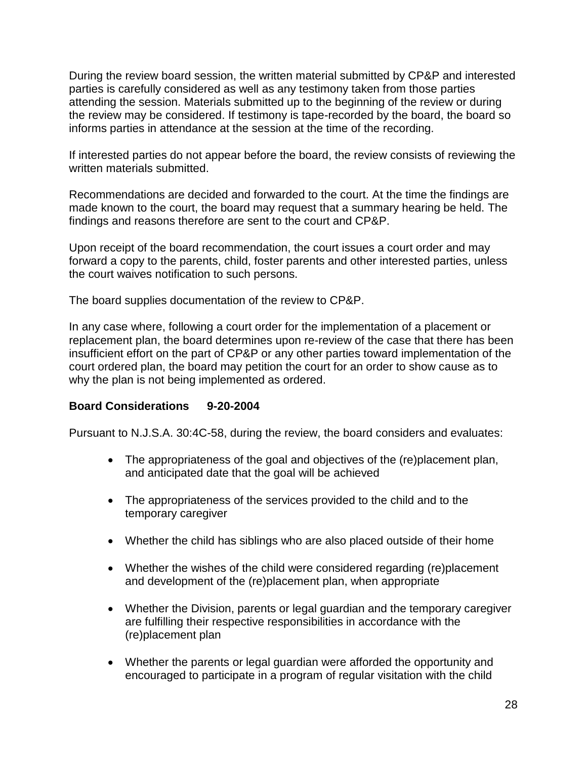During the review board session, the written material submitted by CP&P and interested parties is carefully considered as well as any testimony taken from those parties attending the session. Materials submitted up to the beginning of the review or during the review may be considered. If testimony is tape-recorded by the board, the board so informs parties in attendance at the session at the time of the recording.

If interested parties do not appear before the board, the review consists of reviewing the written materials submitted.

Recommendations are decided and forwarded to the court. At the time the findings are made known to the court, the board may request that a summary hearing be held. The findings and reasons therefore are sent to the court and CP&P.

Upon receipt of the board recommendation, the court issues a court order and may forward a copy to the parents, child, foster parents and other interested parties, unless the court waives notification to such persons.

The board supplies documentation of the review to CP&P.

In any case where, following a court order for the implementation of a placement or replacement plan, the board determines upon re-review of the case that there has been insufficient effort on the part of CP&P or any other parties toward implementation of the court ordered plan, the board may petition the court for an order to show cause as to why the plan is not being implemented as ordered.

### **Board Considerations 9-20-2004**

Pursuant to N.J.S.A. 30:4C-58, during the review, the board considers and evaluates:

- The appropriateness of the goal and objectives of the (re)placement plan, and anticipated date that the goal will be achieved
- The appropriateness of the services provided to the child and to the temporary caregiver
- Whether the child has siblings who are also placed outside of their home
- Whether the wishes of the child were considered regarding (re)placement and development of the (re)placement plan, when appropriate
- Whether the Division, parents or legal guardian and the temporary caregiver are fulfilling their respective responsibilities in accordance with the (re)placement plan
- Whether the parents or legal guardian were afforded the opportunity and encouraged to participate in a program of regular visitation with the child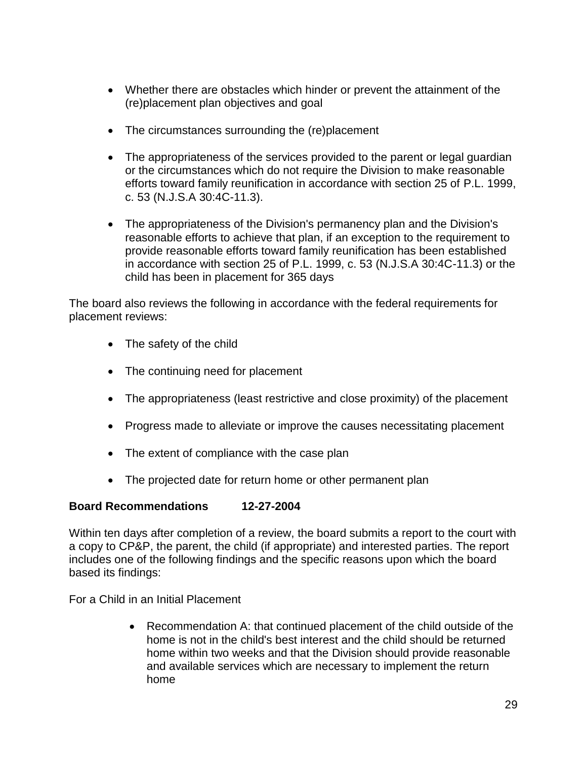- Whether there are obstacles which hinder or prevent the attainment of the (re)placement plan objectives and goal
- The circumstances surrounding the (re)placement
- The appropriateness of the services provided to the parent or legal guardian or the circumstances which do not require the Division to make reasonable efforts toward family reunification in accordance with section 25 of P.L. 1999, c. 53 (N.J.S.A 30:4C-11.3).
- The appropriateness of the Division's permanency plan and the Division's reasonable efforts to achieve that plan, if an exception to the requirement to provide reasonable efforts toward family reunification has been established in accordance with section 25 of P.L. 1999, c. 53 (N.J.S.A 30:4C-11.3) or the child has been in placement for 365 days

The board also reviews the following in accordance with the federal requirements for placement reviews:

- The safety of the child
- The continuing need for placement
- The appropriateness (least restrictive and close proximity) of the placement
- Progress made to alleviate or improve the causes necessitating placement
- The extent of compliance with the case plan
- The projected date for return home or other permanent plan

# **Board Recommendations 12-27-2004**

Within ten days after completion of a review, the board submits a report to the court with a copy to CP&P, the parent, the child (if appropriate) and interested parties. The report includes one of the following findings and the specific reasons upon which the board based its findings:

For a Child in an Initial Placement

 Recommendation A: that continued placement of the child outside of the home is not in the child's best interest and the child should be returned home within two weeks and that the Division should provide reasonable and available services which are necessary to implement the return home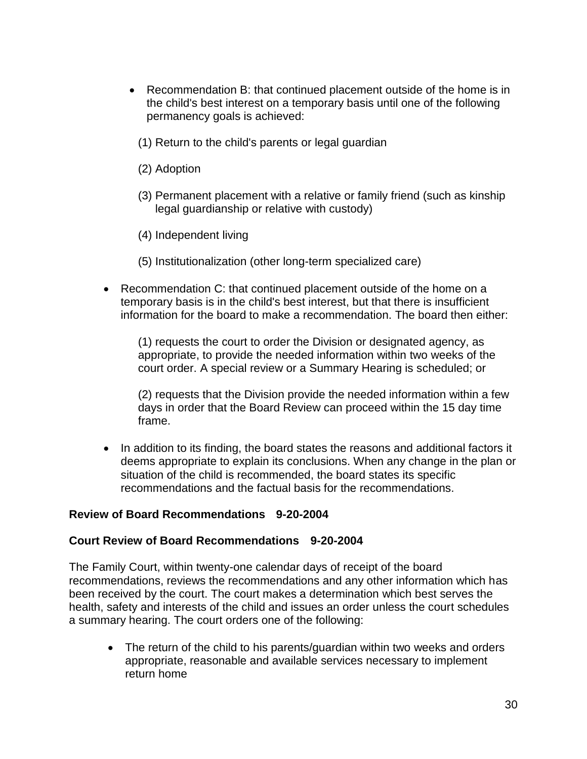- Recommendation B: that continued placement outside of the home is in the child's best interest on a temporary basis until one of the following permanency goals is achieved:
	- (1) Return to the child's parents or legal guardian
	- (2) Adoption
	- (3) Permanent placement with a relative or family friend (such as kinship legal guardianship or relative with custody)
	- (4) Independent living
	- (5) Institutionalization (other long-term specialized care)
- Recommendation C: that continued placement outside of the home on a temporary basis is in the child's best interest, but that there is insufficient information for the board to make a recommendation. The board then either:

(1) requests the court to order the Division or designated agency, as appropriate, to provide the needed information within two weeks of the court order. A special review or a Summary Hearing is scheduled; or

(2) requests that the Division provide the needed information within a few days in order that the Board Review can proceed within the 15 day time frame.

• In addition to its finding, the board states the reasons and additional factors it deems appropriate to explain its conclusions. When any change in the plan or situation of the child is recommended, the board states its specific recommendations and the factual basis for the recommendations.

### **Review of Board Recommendations 9-20-2004**

#### **Court Review of Board Recommendations 9-20-2004**

The Family Court, within twenty-one calendar days of receipt of the board recommendations, reviews the recommendations and any other information which has been received by the court. The court makes a determination which best serves the health, safety and interests of the child and issues an order unless the court schedules a summary hearing. The court orders one of the following:

• The return of the child to his parents/guardian within two weeks and orders appropriate, reasonable and available services necessary to implement return home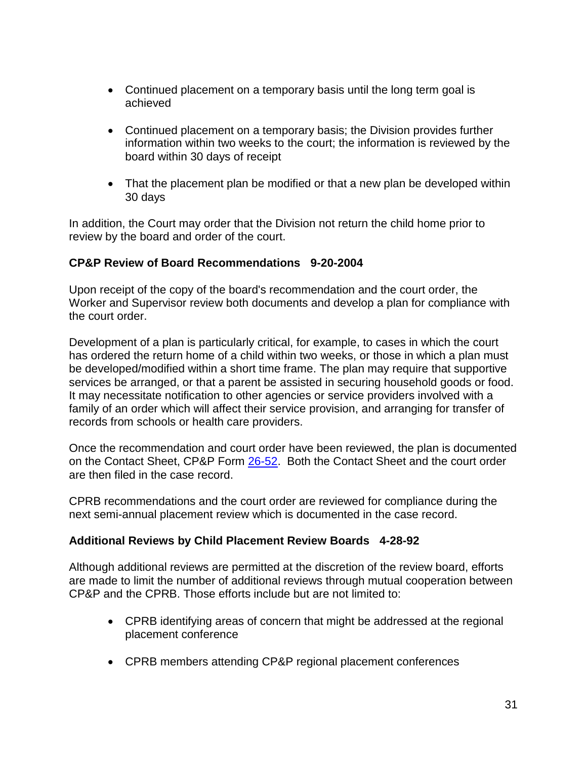- Continued placement on a temporary basis until the long term goal is achieved
- Continued placement on a temporary basis; the Division provides further information within two weeks to the court; the information is reviewed by the board within 30 days of receipt
- That the placement plan be modified or that a new plan be developed within 30 days

In addition, the Court may order that the Division not return the child home prior to review by the board and order of the court.

# **CP&P Review of Board Recommendations 9-20-2004**

Upon receipt of the copy of the board's recommendation and the court order, the Worker and Supervisor review both documents and develop a plan for compliance with the court order.

Development of a plan is particularly critical, for example, to cases in which the court has ordered the return home of a child within two weeks, or those in which a plan must be developed/modified within a short time frame. The plan may require that supportive services be arranged, or that a parent be assisted in securing household goods or food. It may necessitate notification to other agencies or service providers involved with a family of an order which will affect their service provision, and arranging for transfer of records from schools or health care providers.

Once the recommendation and court order have been reviewed, the plan is documented on the Contact Sheet, CP&P Form [26-52.](CPP-X-A-1-26.52_issuance.shtml) Both the Contact Sheet and the court order are then filed in the case record.

CPRB recommendations and the court order are reviewed for compliance during the next semi-annual placement review which is documented in the case record.

# **Additional Reviews by Child Placement Review Boards 4-28-92**

Although additional reviews are permitted at the discretion of the review board, efforts are made to limit the number of additional reviews through mutual cooperation between CP&P and the CPRB. Those efforts include but are not limited to:

- CPRB identifying areas of concern that might be addressed at the regional placement conference
- CPRB members attending CP&P regional placement conferences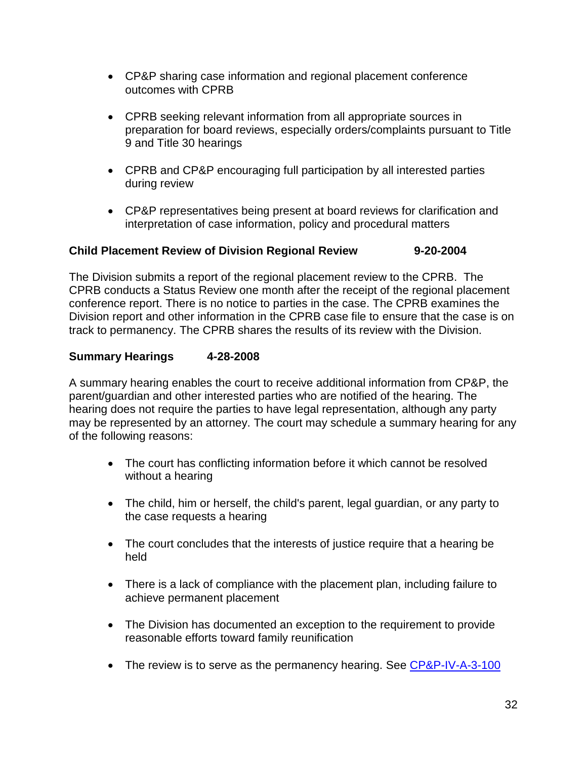- CP&P sharing case information and regional placement conference outcomes with CPRB
- CPRB seeking relevant information from all appropriate sources in preparation for board reviews, especially orders/complaints pursuant to Title 9 and Title 30 hearings
- CPRB and CP&P encouraging full participation by all interested parties during review
- CP&P representatives being present at board reviews for clarification and interpretation of case information, policy and procedural matters

# **Child Placement Review of Division Regional Review 9-20-2004**

The Division submits a report of the regional placement review to the CPRB. The CPRB conducts a Status Review one month after the receipt of the regional placement conference report. There is no notice to parties in the case. The CPRB examines the Division report and other information in the CPRB case file to ensure that the case is on track to permanency. The CPRB shares the results of its review with the Division.

# **Summary Hearings 4-28-2008**

A summary hearing enables the court to receive additional information from CP&P, the parent/guardian and other interested parties who are notified of the hearing. The hearing does not require the parties to have legal representation, although any party may be represented by an attorney. The court may schedule a summary hearing for any of the following reasons:

- The court has conflicting information before it which cannot be resolved without a hearing
- The child, him or herself, the child's parent, legal guardian, or any party to the case requests a hearing
- The court concludes that the interests of justice require that a hearing be held
- There is a lack of compliance with the placement plan, including failure to achieve permanent placement
- The Division has documented an exception to the requirement to provide reasonable efforts toward family reunification
- The review is to serve as the permanency hearing. See [CP&P-IV-A-3-100](CPP-IV-A-3-100_issuance.shtml)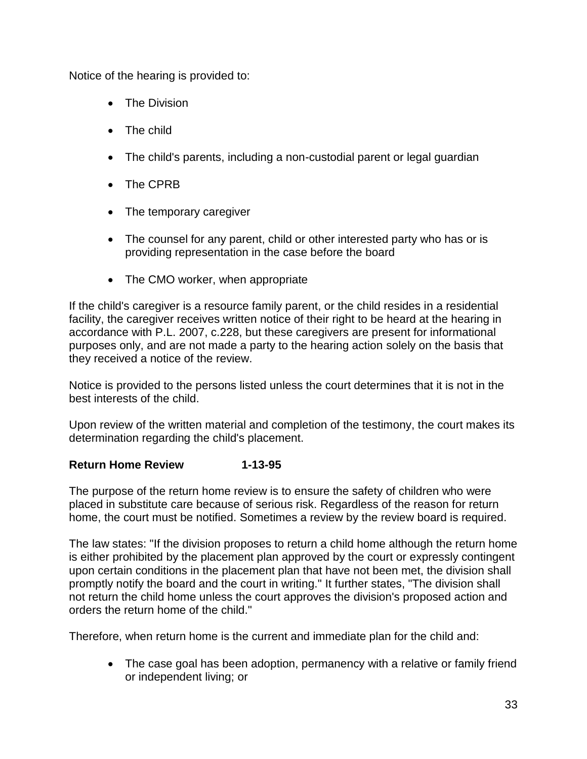Notice of the hearing is provided to:

- The Division
- The child
- The child's parents, including a non-custodial parent or legal guardian
- The CPRB
- The temporary caregiver
- The counsel for any parent, child or other interested party who has or is providing representation in the case before the board
- The CMO worker, when appropriate

If the child's caregiver is a resource family parent, or the child resides in a residential facility, the caregiver receives written notice of their right to be heard at the hearing in accordance with P.L. 2007, c.228, but these caregivers are present for informational purposes only, and are not made a party to the hearing action solely on the basis that they received a notice of the review.

Notice is provided to the persons listed unless the court determines that it is not in the best interests of the child.

Upon review of the written material and completion of the testimony, the court makes its determination regarding the child's placement.

# **Return Home Review 1-13-95**

The purpose of the return home review is to ensure the safety of children who were placed in substitute care because of serious risk. Regardless of the reason for return home, the court must be notified. Sometimes a review by the review board is required.

The law states: "If the division proposes to return a child home although the return home is either prohibited by the placement plan approved by the court or expressly contingent upon certain conditions in the placement plan that have not been met, the division shall promptly notify the board and the court in writing." It further states, "The division shall not return the child home unless the court approves the division's proposed action and orders the return home of the child."

Therefore, when return home is the current and immediate plan for the child and:

• The case goal has been adoption, permanency with a relative or family friend or independent living; or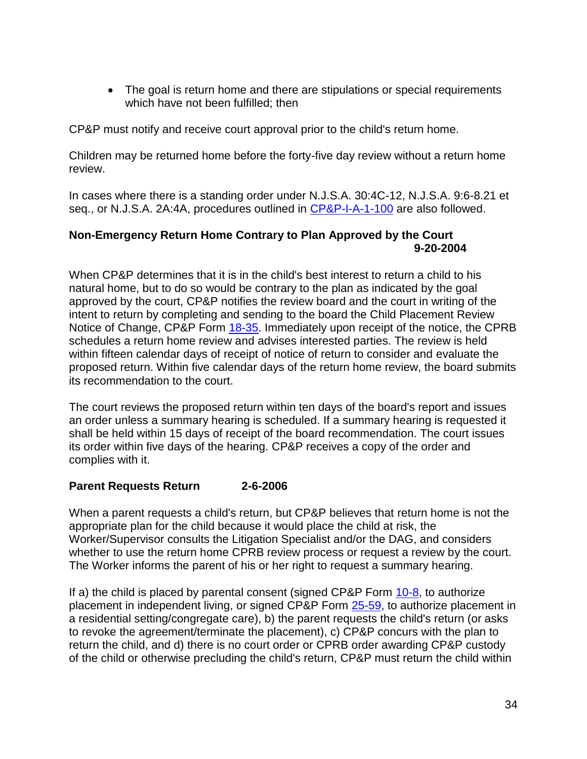• The goal is return home and there are stipulations or special requirements which have not been fulfilled; then

CP&P must notify and receive court approval prior to the child's return home.

Children may be returned home before the forty-five day review without a return home review.

In cases where there is a standing order under N.J.S.A. 30:4C-12, N.J.S.A. 9:6-8.21 et seq., or N.J.S.A. 2A:4A, procedures outlined in [CP&P-I-A-1-100](CPP-I-A-1-100_issuance.shtml) are also followed.

### **Non-Emergency Return Home Contrary to Plan Approved by the Court 9-20-2004**

When CP&P determines that it is in the child's best interest to return a child to his natural home, but to do so would be contrary to the plan as indicated by the goal approved by the court, CP&P notifies the review board and the court in writing of the intent to return by completing and sending to the board the Child Placement Review Notice of Change, CP&P Form [18-35.](CPP-X-A-1-18.35_issuance.shtml) Immediately upon receipt of the notice, the CPRB schedules a return home review and advises interested parties. The review is held within fifteen calendar days of receipt of notice of return to consider and evaluate the proposed return. Within five calendar days of the return home review, the board submits its recommendation to the court.

The court reviews the proposed return within ten days of the board's report and issues an order unless a summary hearing is scheduled. If a summary hearing is requested it shall be held within 15 days of receipt of the board recommendation. The court issues its order within five days of the hearing. CP&P receives a copy of the order and complies with it.

# **Parent Requests Return 2-6-2006**

When a parent requests a child's return, but CP&P believes that return home is not the appropriate plan for the child because it would place the child at risk, the Worker/Supervisor consults the Litigation Specialist and/or the DAG, and considers whether to use the return home CPRB review process or request a review by the court. The Worker informs the parent of his or her right to request a summary hearing.

If a) the child is placed by parental consent (signed CP&P Form [10-8,](CPP-X-A-1-10.8_issuance.shtml) to authorize placement in independent living, or signed CP&P Form [25-59,](CPP-X-A-1-25.59_issuance.shtml) to authorize placement in a residential setting/congregate care), b) the parent requests the child's return (or asks to revoke the agreement/terminate the placement), c) CP&P concurs with the plan to return the child, and d) there is no court order or CPRB order awarding CP&P custody of the child or otherwise precluding the child's return, CP&P must return the child within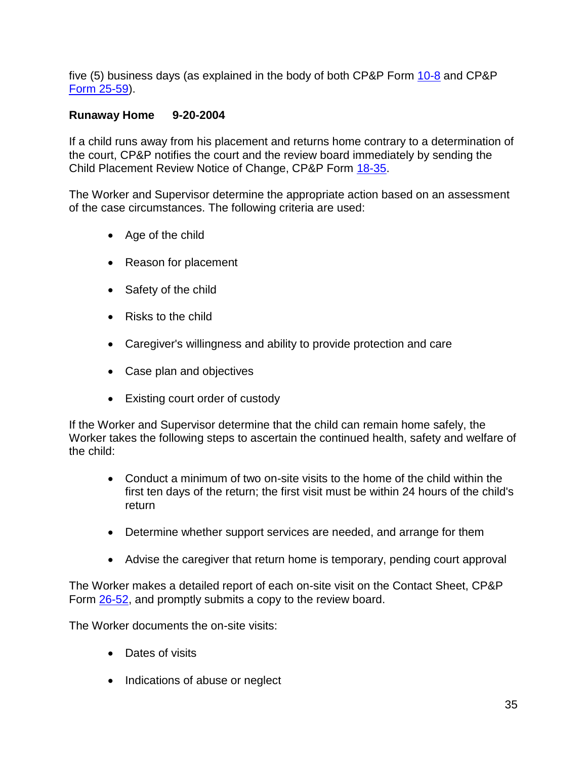five (5) business days (as explained in the body of both CP&P Form [10-8](CPP-X-A-1-10.8_issuance.shtml) and CP&P [Form 25-59\)](CPP-X-A-1-25.59_issuance.shtml).

### **Runaway Home 9-20-2004**

If a child runs away from his placement and returns home contrary to a determination of the court, CP&P notifies the court and the review board immediately by sending the Child Placement Review Notice of Change, CP&P Form [18-35.](CPP-X-A-1-18.35_issuance.shtml)

The Worker and Supervisor determine the appropriate action based on an assessment of the case circumstances. The following criteria are used:

- Age of the child
- Reason for placement
- Safety of the child
- Risks to the child
- Caregiver's willingness and ability to provide protection and care
- Case plan and objectives
- Existing court order of custody

If the Worker and Supervisor determine that the child can remain home safely, the Worker takes the following steps to ascertain the continued health, safety and welfare of the child:

- Conduct a minimum of two on-site visits to the home of the child within the first ten days of the return; the first visit must be within 24 hours of the child's return
- Determine whether support services are needed, and arrange for them
- Advise the caregiver that return home is temporary, pending court approval

The Worker makes a detailed report of each on-site visit on the Contact Sheet, CP&P Form [26-52,](CPP-X-A-1-26.52_issuance.shtml) and promptly submits a copy to the review board.

The Worker documents the on-site visits:

- Dates of visits
- Indications of abuse or neglect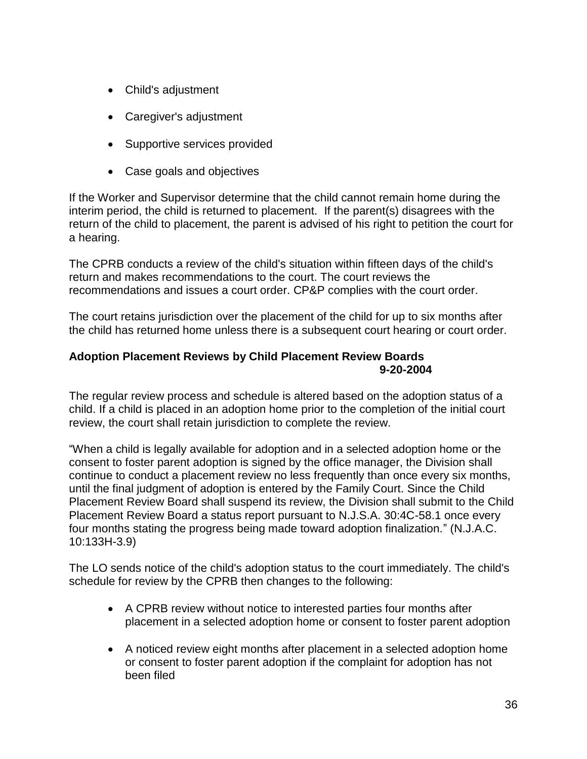- Child's adjustment
- Caregiver's adjustment
- Supportive services provided
- Case goals and objectives

If the Worker and Supervisor determine that the child cannot remain home during the interim period, the child is returned to placement. If the parent(s) disagrees with the return of the child to placement, the parent is advised of his right to petition the court for a hearing.

The CPRB conducts a review of the child's situation within fifteen days of the child's return and makes recommendations to the court. The court reviews the recommendations and issues a court order. CP&P complies with the court order.

The court retains jurisdiction over the placement of the child for up to six months after the child has returned home unless there is a subsequent court hearing or court order.

### **Adoption Placement Reviews by Child Placement Review Boards 9-20-2004**

The regular review process and schedule is altered based on the adoption status of a child. If a child is placed in an adoption home prior to the completion of the initial court review, the court shall retain jurisdiction to complete the review.

"When a child is legally available for adoption and in a selected adoption home or the consent to foster parent adoption is signed by the office manager, the Division shall continue to conduct a placement review no less frequently than once every six months, until the final judgment of adoption is entered by the Family Court. Since the Child Placement Review Board shall suspend its review, the Division shall submit to the Child Placement Review Board a status report pursuant to N.J.S.A. 30:4C-58.1 once every four months stating the progress being made toward adoption finalization." (N.J.A.C. 10:133H-3.9)

The LO sends notice of the child's adoption status to the court immediately. The child's schedule for review by the CPRB then changes to the following:

- A CPRB review without notice to interested parties four months after placement in a selected adoption home or consent to foster parent adoption
- A noticed review eight months after placement in a selected adoption home or consent to foster parent adoption if the complaint for adoption has not been filed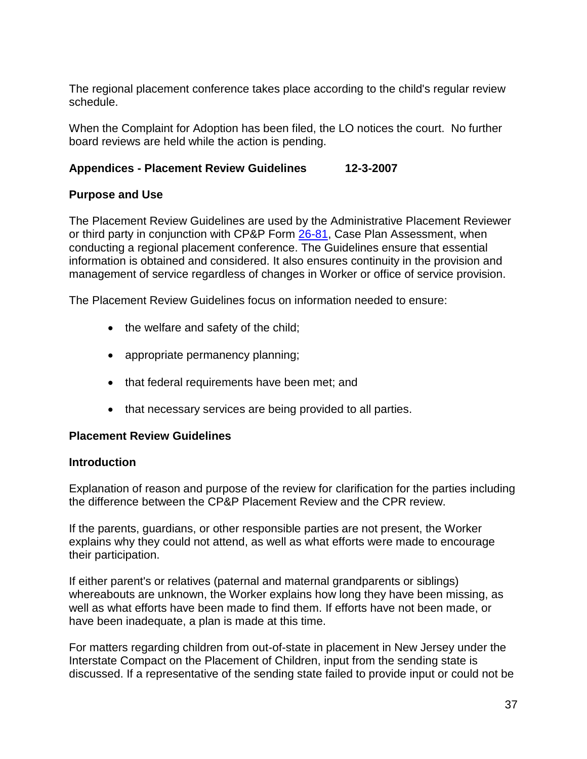The regional placement conference takes place according to the child's regular review schedule.

When the Complaint for Adoption has been filed, the LO notices the court. No further board reviews are held while the action is pending.

# **Appendices - Placement Review Guidelines 12-3-2007**

# **Purpose and Use**

The Placement Review Guidelines are used by the Administrative Placement Reviewer or third party in conjunction with CP&P Form [26-81,](CPP-X-A-1-26.81ab_issuance.shtml) Case Plan Assessment, when conducting a regional placement conference. The Guidelines ensure that essential information is obtained and considered. It also ensures continuity in the provision and management of service regardless of changes in Worker or office of service provision.

The Placement Review Guidelines focus on information needed to ensure:

- $\bullet$  the welfare and safety of the child;
- appropriate permanency planning;
- that federal requirements have been met; and
- that necessary services are being provided to all parties.

### **Placement Review Guidelines**

### **Introduction**

Explanation of reason and purpose of the review for clarification for the parties including the difference between the CP&P Placement Review and the CPR review.

If the parents, guardians, or other responsible parties are not present, the Worker explains why they could not attend, as well as what efforts were made to encourage their participation.

If either parent's or relatives (paternal and maternal grandparents or siblings) whereabouts are unknown, the Worker explains how long they have been missing, as well as what efforts have been made to find them. If efforts have not been made, or have been inadequate, a plan is made at this time.

For matters regarding children from out-of-state in placement in New Jersey under the Interstate Compact on the Placement of Children, input from the sending state is discussed. If a representative of the sending state failed to provide input or could not be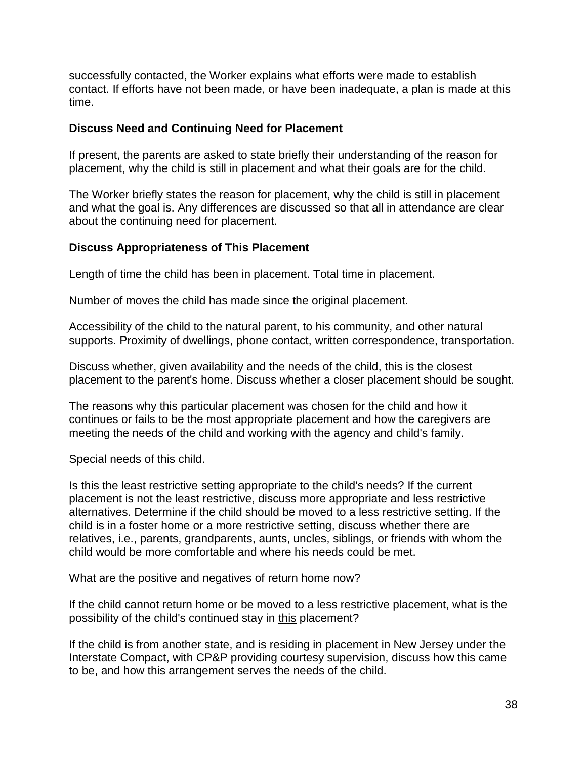successfully contacted, the Worker explains what efforts were made to establish contact. If efforts have not been made, or have been inadequate, a plan is made at this time.

#### **Discuss Need and Continuing Need for Placement**

If present, the parents are asked to state briefly their understanding of the reason for placement, why the child is still in placement and what their goals are for the child.

The Worker briefly states the reason for placement, why the child is still in placement and what the goal is. Any differences are discussed so that all in attendance are clear about the continuing need for placement.

### **Discuss Appropriateness of This Placement**

Length of time the child has been in placement. Total time in placement.

Number of moves the child has made since the original placement.

Accessibility of the child to the natural parent, to his community, and other natural supports. Proximity of dwellings, phone contact, written correspondence, transportation.

Discuss whether, given availability and the needs of the child, this is the closest placement to the parent's home. Discuss whether a closer placement should be sought.

The reasons why this particular placement was chosen for the child and how it continues or fails to be the most appropriate placement and how the caregivers are meeting the needs of the child and working with the agency and child's family.

Special needs of this child.

Is this the least restrictive setting appropriate to the child's needs? If the current placement is not the least restrictive, discuss more appropriate and less restrictive alternatives. Determine if the child should be moved to a less restrictive setting. If the child is in a foster home or a more restrictive setting, discuss whether there are relatives, i.e., parents, grandparents, aunts, uncles, siblings, or friends with whom the child would be more comfortable and where his needs could be met.

What are the positive and negatives of return home now?

If the child cannot return home or be moved to a less restrictive placement, what is the possibility of the child's continued stay in this placement?

If the child is from another state, and is residing in placement in New Jersey under the Interstate Compact, with CP&P providing courtesy supervision, discuss how this came to be, and how this arrangement serves the needs of the child.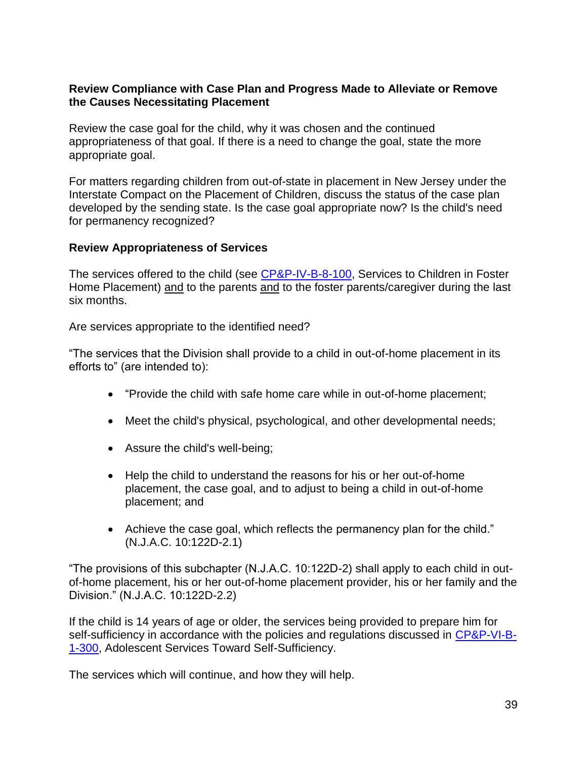### **Review Compliance with Case Plan and Progress Made to Alleviate or Remove the Causes Necessitating Placement**

Review the case goal for the child, why it was chosen and the continued appropriateness of that goal. If there is a need to change the goal, state the more appropriate goal.

For matters regarding children from out-of-state in placement in New Jersey under the Interstate Compact on the Placement of Children, discuss the status of the case plan developed by the sending state. Is the case goal appropriate now? Is the child's need for permanency recognized?

# **Review Appropriateness of Services**

The services offered to the child (see [CP&P-IV-B-8-100,](CPP-IV-B-8-100_issuance.shtml) Services to Children in Foster Home Placement) and to the parents and to the foster parents/caregiver during the last six months.

Are services appropriate to the identified need?

"The services that the Division shall provide to a child in out-of-home placement in its efforts to" (are intended to):

- "Provide the child with safe home care while in out-of-home placement;
- Meet the child's physical, psychological, and other developmental needs;
- Assure the child's well-being;
- Help the child to understand the reasons for his or her out-of-home placement, the case goal, and to adjust to being a child in out-of-home placement; and
- Achieve the case goal, which reflects the permanency plan for the child." (N.J.A.C. 10:122D-2.1)

"The provisions of this subchapter (N.J.A.C. 10:122D-2) shall apply to each child in outof-home placement, his or her out-of-home placement provider, his or her family and the Division." (N.J.A.C. 10:122D-2.2)

If the child is 14 years of age or older, the services being provided to prepare him for self-sufficiency in accordance with the policies and regulations discussed in [CP&P-VI-B-](CPP-VI-B-1-300_issuance.shtml)[1-300,](CPP-VI-B-1-300_issuance.shtml) Adolescent Services Toward Self-Sufficiency.

The services which will continue, and how they will help.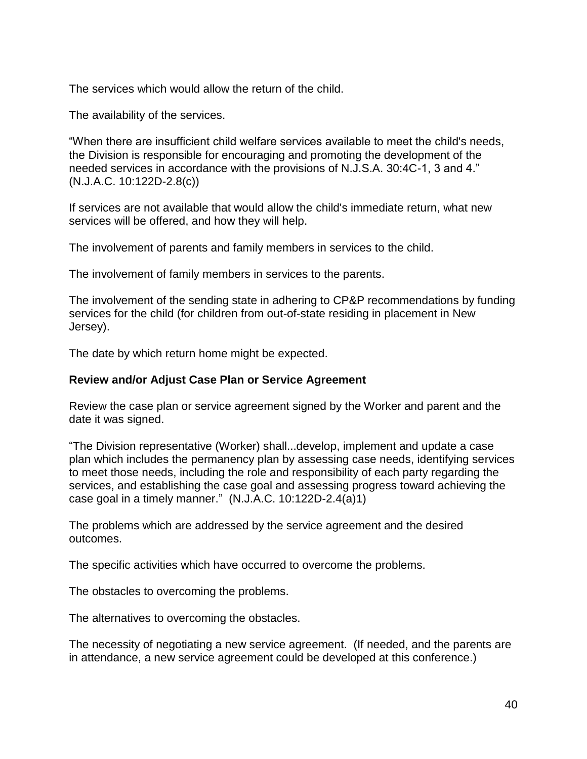The services which would allow the return of the child.

The availability of the services.

"When there are insufficient child welfare services available to meet the child's needs, the Division is responsible for encouraging and promoting the development of the needed services in accordance with the provisions of N.J.S.A. 30:4C-1, 3 and 4." (N.J.A.C. 10:122D-2.8(c))

If services are not available that would allow the child's immediate return, what new services will be offered, and how they will help.

The involvement of parents and family members in services to the child.

The involvement of family members in services to the parents.

The involvement of the sending state in adhering to CP&P recommendations by funding services for the child (for children from out-of-state residing in placement in New Jersey).

The date by which return home might be expected.

#### **Review and/or Adjust Case Plan or Service Agreement**

Review the case plan or service agreement signed by the Worker and parent and the date it was signed.

"The Division representative (Worker) shall...develop, implement and update a case plan which includes the permanency plan by assessing case needs, identifying services to meet those needs, including the role and responsibility of each party regarding the services, and establishing the case goal and assessing progress toward achieving the case goal in a timely manner."  $(N.J.A.C. 10:122D-2.4(a)1)$ 

The problems which are addressed by the service agreement and the desired outcomes.

The specific activities which have occurred to overcome the problems.

The obstacles to overcoming the problems.

The alternatives to overcoming the obstacles.

The necessity of negotiating a new service agreement. (If needed, and the parents are in attendance, a new service agreement could be developed at this conference.)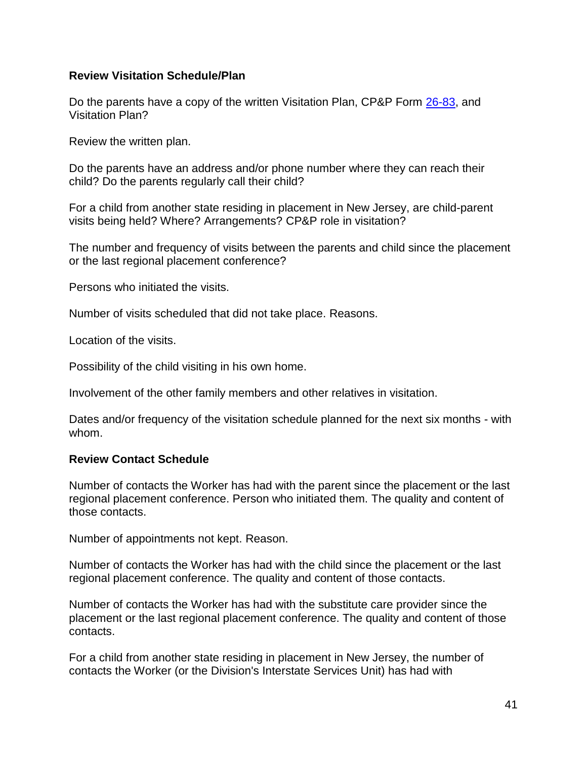### **Review Visitation Schedule/Plan**

Do the parents have a copy of the written Visitation Plan, CP&P Form [26-83,](CPP-X-A-1-26.83_issuance.shtml) and Visitation Plan?

Review the written plan.

Do the parents have an address and/or phone number where they can reach their child? Do the parents regularly call their child?

For a child from another state residing in placement in New Jersey, are child-parent visits being held? Where? Arrangements? CP&P role in visitation?

The number and frequency of visits between the parents and child since the placement or the last regional placement conference?

Persons who initiated the visits.

Number of visits scheduled that did not take place. Reasons.

Location of the visits.

Possibility of the child visiting in his own home.

Involvement of the other family members and other relatives in visitation.

Dates and/or frequency of the visitation schedule planned for the next six months - with whom.

### **Review Contact Schedule**

Number of contacts the Worker has had with the parent since the placement or the last regional placement conference. Person who initiated them. The quality and content of those contacts.

Number of appointments not kept. Reason.

Number of contacts the Worker has had with the child since the placement or the last regional placement conference. The quality and content of those contacts.

Number of contacts the Worker has had with the substitute care provider since the placement or the last regional placement conference. The quality and content of those contacts.

For a child from another state residing in placement in New Jersey, the number of contacts the Worker (or the Division's Interstate Services Unit) has had with